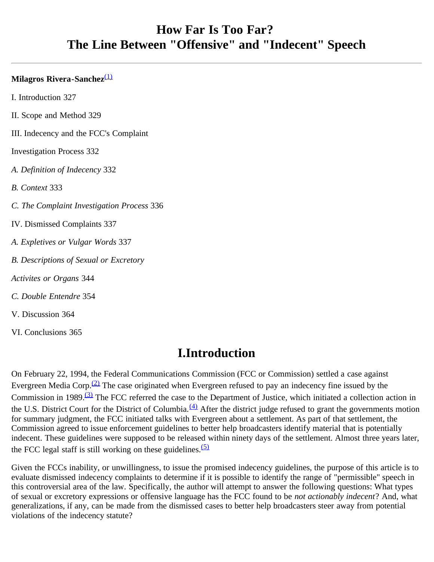## **How Far Is Too Far? The Line Between "Offensive" and "Indecent" Speech**

#### **Milagros Rivera-Sanchez**[\(1\)](#page-14-0)

I. Introduction 327 II. Scope and Method 329 III. Indecency and the FCC's Complaint Investigation Process 332 *A. Definition of Indecency* 332 *B. Context* 333 *C. The Complaint Investigation Process* 336 IV. Dismissed Complaints 337 *A. Expletives or Vulgar Words* 337 *B. Descriptions of Sexual or Excretory Activites or Organs* 344 *C. Double Entendre* 354 V. Discussion 364 VI. Conclusions 365

### **I.Introduction**

On February 22, 1994, the Federal Communications Commission (FCC or Commission) settled a case against Evergreen Media Corp. $(2)$  The case originated when Evergreen refused to pay an indecency fine issued by the Commission in 1989.<sup>(3)</sup> The FCC referred the case to the Department of Justice, which initiated a collection action in the U.S. District Court for the District of Columbia. $(4)$  After the district judge refused to grant the governments motion for summary judgment, the FCC initiated talks with Evergreen about a settlement. As part of that settlement, the Commission agreed to issue enforcement guidelines to better help broadcasters identify material that is potentially indecent. These guidelines were supposed to be released within ninety days of the settlement. Almost three years later, the FCC legal staff is still working on these guidelines.  $(5)$ 

Given the FCCs inability, or unwillingness, to issue the promised indecency guidelines, the purpose of this article is to evaluate dismissed indecency complaints to determine if it is possible to identify the range of "permissible" speech in this controversial area of the law. Specifically, the author will attempt to answer the following questions: What types of sexual or excretory expressions or offensive language has the FCC found to be *not actionably indecent*? And, what generalizations, if any, can be made from the dismissed cases to better help broadcasters steer away from potential violations of the indecency statute?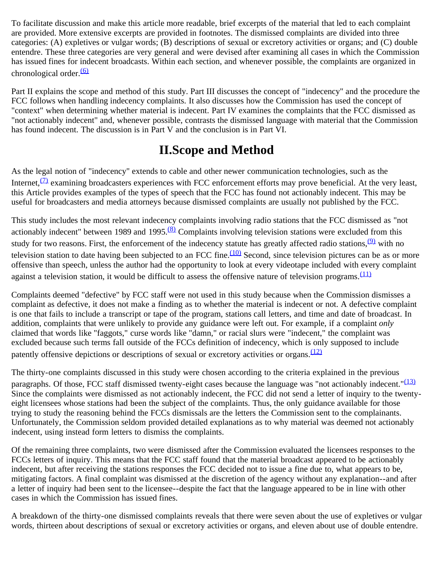To facilitate discussion and make this article more readable, brief excerpts of the material that led to each complaint are provided. More extensive excerpts are provided in footnotes. The dismissed complaints are divided into three categories: (A) expletives or vulgar words; (B) descriptions of sexual or excretory activities or organs; and (C) double entendre. These three categories are very general and were devised after examining all cases in which the Commission has issued fines for indecent broadcasts. Within each section, and whenever possible, the complaints are organized in chronological order. $\frac{(6)}{6}$  $\frac{(6)}{6}$  $\frac{(6)}{6}$ 

Part II explains the scope and method of this study. Part III discusses the concept of "indecency" and the procedure the FCC follows when handling indecency complaints. It also discusses how the Commission has used the concept of "context" when determining whether material is indecent. Part IV examines the complaints that the FCC dismissed as "not actionably indecent" and, whenever possible, contrasts the dismissed language with material that the Commission has found indecent. The discussion is in Part V and the conclusion is in Part VI.

# **II.Scope and Method**

As the legal notion of "indecency" extends to cable and other newer communication technologies, such as the Internet, $(7)$  examining broadcasters experiences with FCC enforcement efforts may prove beneficial. At the very least, this Article provides examples of the types of speech that the FCC has found not actionably indecent. This may be useful for broadcasters and media attorneys because dismissed complaints are usually not published by the FCC.

This study includes the most relevant indecency complaints involving radio stations that the FCC dismissed as "not actionably indecent" between 1989 and 1995. $\frac{(8)}{8}$  Complaints involving television stations were excluded from this study for two reasons. First, the enforcement of the indecency statute has greatly affected radio stations,  $(9)$  with no television station to date having been subjected to an FCC fine. $(10)$  Second, since television pictures can be as or more offensive than speech, unless the author had the opportunity to look at every videotape included with every complaint against a television station, it would be difficult to assess the offensive nature of television programs. $\frac{(11)}{(11)}$  $\frac{(11)}{(11)}$  $\frac{(11)}{(11)}$ 

Complaints deemed "defective" by FCC staff were not used in this study because when the Commission dismisses a complaint as defective, it does not make a finding as to whether the material is indecent or not. A defective complaint is one that fails to include a transcript or tape of the program, stations call letters, and time and date of broadcast. In addition, complaints that were unlikely to provide any guidance were left out. For example, if a complaint *only* claimed that words like "faggots," curse words like "damn," or racial slurs were "indecent," the complaint was excluded because such terms fall outside of the FCCs definition of indecency, which is only supposed to include patently offensive depictions or descriptions of sexual or excretory activities or organs.<sup>[\(12\)](#page-15-4)</sup>

The thirty-one complaints discussed in this study were chosen according to the criteria explained in the previous paragraphs. Of those, FCC staff dismissed twenty-eight cases because the language was "not actionably indecent." $\frac{(13)}{(13)}$  $\frac{(13)}{(13)}$  $\frac{(13)}{(13)}$ Since the complaints were dismissed as not actionably indecent, the FCC did not send a letter of inquiry to the twentyeight licensees whose stations had been the subject of the complaints. Thus, the only guidance available for those trying to study the reasoning behind the FCCs dismissals are the letters the Commission sent to the complainants. Unfortunately, the Commission seldom provided detailed explanations as to why material was deemed not actionably indecent, using instead form letters to dismiss the complaints.

Of the remaining three complaints, two were dismissed after the Commission evaluated the licensees responses to the FCCs letters of inquiry. This means that the FCC staff found that the material broadcast appeared to be actionably indecent, but after receiving the stations responses the FCC decided not to issue a fine due to, what appears to be, mitigating factors. A final complaint was dismissed at the discretion of the agency without any explanation--and after a letter of inquiry had been sent to the licensee--despite the fact that the language appeared to be in line with other cases in which the Commission has issued fines.

A breakdown of the thirty-one dismissed complaints reveals that there were seven about the use of expletives or vulgar words, thirteen about descriptions of sexual or excretory activities or organs, and eleven about use of double entendre.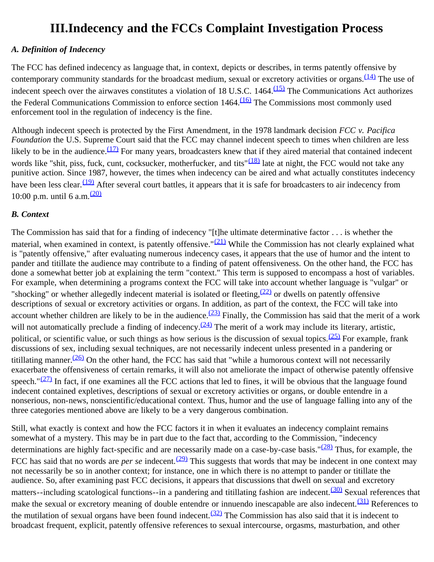### **III.Indecency and the FCCs Complaint Investigation Process**

#### *A. Definition of Indecency*

The FCC has defined indecency as language that, in context, depicts or describes, in terms patently offensive by contemporary community standards for the broadcast medium, sexual or excretory activities or organs.  $(14)$  The use of indecent speech over the airwaves constitutes a violation of 18 U.S.C. 1464. $\frac{(15)}{10}$  The Communications Act authorizes the Federal Communications Commission to enforce section 1464.<sup>(16)</sup> The Commissions most commonly used enforcement tool in the regulation of indecency is the fine.

Although indecent speech is protected by the First Amendment, in the 1978 landmark decision *FCC v. Pacifica Foundation* the U.S. Supreme Court said that the FCC may channel indecent speech to times when children are less likely to be in the audience. $(17)$  For many years, broadcasters knew that if they aired material that contained indecent words like "shit, piss, fuck, cunt, cocksucker, motherfucker, and tits" $(18)$  late at night, the FCC would not take any punitive action. Since 1987, however, the times when indecency can be aired and what actually constitutes indecency have been less clear.  $(19)$  After several court battles, it appears that it is safe for broadcasters to air indecency from 10:00 p.m. until 6 a.m. $\frac{(20)}{20}$  $\frac{(20)}{20}$  $\frac{(20)}{20}$ 

#### *B. Context*

The Commission has said that for a finding of indecency "[t]he ultimate determinative factor . . . is whether the material, when examined in context, is patently offensive." $(21)$  While the Commission has not clearly explained what is "patently offensive," after evaluating numerous indecency cases, it appears that the use of humor and the intent to pander and titillate the audience may contribute to a finding of patent offensiveness. On the other hand, the FCC has done a somewhat better job at explaining the term "context." This term is supposed to encompass a host of variables. For example, when determining a programs context the FCC will take into account whether language is "vulgar" or "shocking" or whether allegedly indecent material is isolated or fleeting,  $(22)$  or dwells on patently offensive descriptions of sexual or excretory activities or organs. In addition, as part of the context, the FCC will take into account whether children are likely to be in the audience. $(23)$  Finally, the Commission has said that the merit of a work will not automatically preclude a finding of indecency.<sup>(24)</sup> The merit of a work may include its literary, artistic, political, or scientific value, or such things as how serious is the discussion of sexual topics. $(25)$  For example, frank discussions of sex, including sexual techniques, are not necessarily indecent unless presented in a pandering or titillating manner.<sup>(26)</sup> On the other hand, the FCC has said that "while a humorous context will not necessarily exacerbate the offensiveness of certain remarks, it will also not ameliorate the impact of otherwise patently offensive speech." $(27)$  In fact, if one examines all the FCC actions that led to fines, it will be obvious that the language found indecent contained expletives, descriptions of sexual or excretory activities or organs, or double entendre in a nonserious, non-news, nonscientific/educational context. Thus, humor and the use of language falling into any of the three categories mentioned above are likely to be a very dangerous combination.

Still, what exactly is context and how the FCC factors it in when it evaluates an indecency complaint remains somewhat of a mystery. This may be in part due to the fact that, according to the Commission, "indecency determinations are highly fact-specific and are necessarily made on a case-by-case basis." $(28)$  Thus, for example, the FCC has said that no words are *per se* indecent.<sup>(29)</sup> This suggests that words that may be indecent in one context may not necessarily be so in another context; for instance, one in which there is no attempt to pander or titillate the audience. So, after examining past FCC decisions, it appears that discussions that dwell on sexual and excretory matters--including scatological functions--in a pandering and titillating fashion are indecent.  $(30)$  Sexual references that make the sexual or excretory meaning of double entendre or innuendo inescapable are also indecent.<sup>(31)</sup> References to the mutilation of sexual organs have been found indecent. $(32)$  The Commission has also said that it is indecent to broadcast frequent, explicit, patently offensive references to sexual intercourse, orgasms, masturbation, and other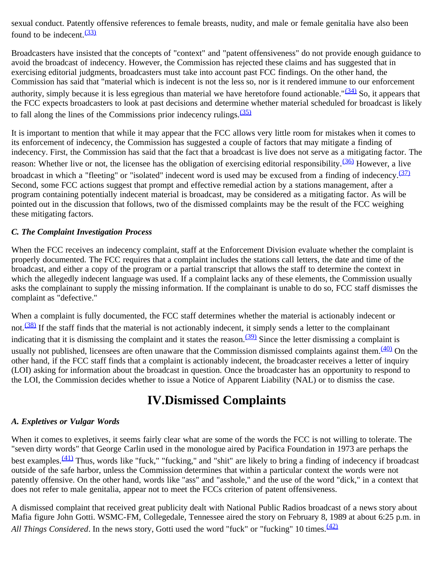sexual conduct. Patently offensive references to female breasts, nudity, and male or female genitalia have also been found to be indecent.  $\frac{(33)}{2}$  $\frac{(33)}{2}$  $\frac{(33)}{2}$ 

Broadcasters have insisted that the concepts of "context" and "patent offensiveness" do not provide enough guidance to avoid the broadcast of indecency. However, the Commission has rejected these claims and has suggested that in exercising editorial judgments, broadcasters must take into account past FCC findings. On the other hand, the Commission has said that "material which is indecent is not the less so, nor is it rendered immune to our enforcement authority, simply because it is less egregious than material we have heretofore found actionable." $(34)$  So, it appears that the FCC expects broadcasters to look at past decisions and determine whether material scheduled for broadcast is likely to fall along the lines of the Commissions prior indecency rulings. $\frac{(35)}{25}$  $\frac{(35)}{25}$  $\frac{(35)}{25}$ 

It is important to mention that while it may appear that the FCC allows very little room for mistakes when it comes to its enforcement of indecency, the Commission has suggested a couple of factors that may mitigate a finding of indecency. First, the Commission has said that the fact that a broadcast is live does not serve as a mitigating factor. The reason: Whether live or not, the licensee has the obligation of exercising editorial responsibility.<sup>(36)</sup> However, a live broadcast in which a "fleeting" or "isolated" indecent word is used may be excused from a finding of indecency.<sup>[\(37\)](#page-17-6)</sup> Second, some FCC actions suggest that prompt and effective remedial action by a stations management, after a program containing potentially indecent material is broadcast, may be considered as a mitigating factor. As will be pointed out in the discussion that follows, two of the dismissed complaints may be the result of the FCC weighing these mitigating factors.

#### *C. The Complaint Investigation Process*

When the FCC receives an indecency complaint, staff at the Enforcement Division evaluate whether the complaint is properly documented. The FCC requires that a complaint includes the stations call letters, the date and time of the broadcast, and either a copy of the program or a partial transcript that allows the staff to determine the context in which the allegedly indecent language was used. If a complaint lacks any of these elements, the Commission usually asks the complainant to supply the missing information. If the complainant is unable to do so, FCC staff dismisses the complaint as "defective."

When a complaint is fully documented, the FCC staff determines whether the material is actionably indecent or not. $(38)$  If the staff finds that the material is not actionably indecent, it simply sends a letter to the complainant indicating that it is dismissing the complaint and it states the reason. $\frac{(39)}{(39)}$  Since the letter dismissing a complaint is usually not published, licensees are often unaware that the Commission dismissed complaints against them.<sup>(40)</sup> On the other hand, if the FCC staff finds that a complaint is actionably indecent, the broadcaster receives a letter of inquiry (LOI) asking for information about the broadcast in question. Once the broadcaster has an opportunity to respond to the LOI, the Commission decides whether to issue a Notice of Apparent Liability (NAL) or to dismiss the case.

# **IV.Dismissed Complaints**

### *A. Expletives or Vulgar Words*

When it comes to expletives, it seems fairly clear what are some of the words the FCC is not willing to tolerate. The "seven dirty words" that George Carlin used in the monologue aired by Pacifica Foundation in 1973 are perhaps the best examples.[\(41\)](#page-18-2) Thus, words like "fuck," "fucking," and "shit" are likely to bring a finding of indecency if broadcast outside of the safe harbor, unless the Commission determines that within a particular context the words were not patently offensive. On the other hand, words like "ass" and "asshole," and the use of the word "dick," in a context that does not refer to male genitalia, appear not to meet the FCCs criterion of patent offensiveness.

A dismissed complaint that received great publicity dealt with National Public Radios broadcast of a news story about Mafia figure John Gotti. WSMC-FM, Collegedale, Tennessee aired the story on February 8, 1989 at about 6:25 p.m. in *All Things Considered.* In the news story, Gotti used the word "fuck" or "fucking" 10 times.  $\frac{(42)}{2}$  $\frac{(42)}{2}$  $\frac{(42)}{2}$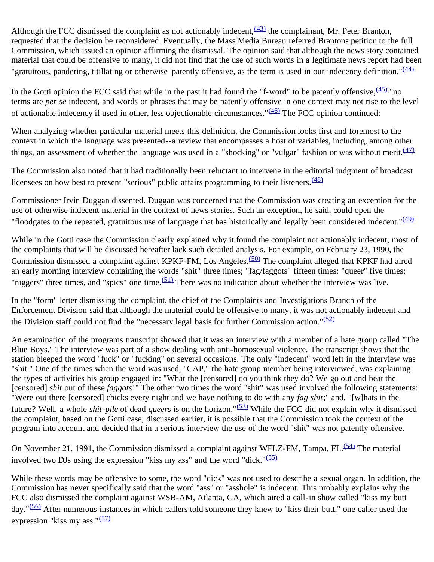Although the FCC dismissed the complaint as not actionably indecent,  $\frac{(43)}{10}$  the complainant, Mr. Peter Branton, requested that the decision be reconsidered. Eventually, the Mass Media Bureau referred Brantons petition to the full Commission, which issued an opinion affirming the dismissal. The opinion said that although the news story contained material that could be offensive to many, it did not find that the use of such words in a legitimate news report had been "gratuitous, pandering, titillating or otherwise 'patently offensive, as the term is used in our indecency definition." $(44)$ 

In the Gotti opinion the FCC said that while in the past it had found the "f-word" to be patently offensive,  $\frac{(45)}{10}$  "no terms are *per se* indecent, and words or phrases that may be patently offensive in one context may not rise to the level of actionable indecency if used in other, less objectionable circumstances." $(46)$  The FCC opinion continued:

When analyzing whether particular material meets this definition, the Commission looks first and foremost to the context in which the language was presented--a review that encompasses a host of variables, including, among other things, an assessment of whether the language was used in a "shocking" or "vulgar" fashion or was without merit. $\frac{(47)}{2}$  $\frac{(47)}{2}$  $\frac{(47)}{2}$ 

The Commission also noted that it had traditionally been reluctant to intervene in the editorial judgment of broadcast licensees on how best to present "serious" public affairs programming to their listeners.  $\frac{(48)}{2}$  $\frac{(48)}{2}$  $\frac{(48)}{2}$ 

Commissioner Irvin Duggan dissented. Duggan was concerned that the Commission was creating an exception for the use of otherwise indecent material in the context of news stories. Such an exception, he said, could open the "floodgates to the repeated, gratuitous use of language that has historically and legally been considered indecent." $(49)$ 

While in the Gotti case the Commission clearly explained why it found the complaint not actionably indecent, most of the complaints that will be discussed hereafter lack such detailed analysis. For example, on February 23, 1990, the Commission dismissed a complaint against KPKF-FM, Los Angeles.<sup>(50)</sup> The complaint alleged that KPKF had aired an early morning interview containing the words "shit" three times; "fag/faggots" fifteen times; "queer" five times; "niggers" three times, and "spics" one time. $(51)$  There was no indication about whether the interview was live.

In the "form" letter dismissing the complaint, the chief of the Complaints and Investigations Branch of the Enforcement Division said that although the material could be offensive to many, it was not actionably indecent and the Division staff could not find the "necessary legal basis for further Commission action." $(52)$ 

An examination of the programs transcript showed that it was an interview with a member of a hate group called "The Blue Boys." The interview was part of a show dealing with anti-homosexual violence. The transcript shows that the station bleeped the word "fuck" or "fucking" on several occasions. The only "indecent" word left in the interview was "shit." One of the times when the word was used, "CAP," the hate group member being interviewed, was explaining the types of activities his group engaged in: "What the [censored] do you think they do? We go out and beat the [censored] *shit* out of these *faggots*!" The other two times the word "shit" was used involved the following statements: "Were out there [censored] chicks every night and we have nothing to do with any *fag shit*;" and, "[w]hats in the future? Well, a whole *shit-pile* of dead *queers* is on the horizon."[\(53\)](#page-18-14) While the FCC did not explain why it dismissed the complaint, based on the Gotti case, discussed earlier, it is possible that the Commission took the context of the program into account and decided that in a serious interview the use of the word "shit" was not patently offensive.

On November 21, 1991, the Commission dismissed a complaint against WFLZ-FM, Tampa, FL.<sup>(54)</sup> The material involved two DJs using the expression "kiss my ass" and the word "dick." $(55)$ 

While these words may be offensive to some, the word "dick" was not used to describe a sexual organ. In addition, the Commission has never specifically said that the word "ass" or "asshole" is indecent. This probably explains why the FCC also dismissed the complaint against WSB-AM, Atlanta, GA, which aired a call-in show called "kiss my butt day."<sup>(56)</sup> After numerous instances in which callers told someone they knew to "kiss their butt," one caller used the expression "kiss my ass." $(57)$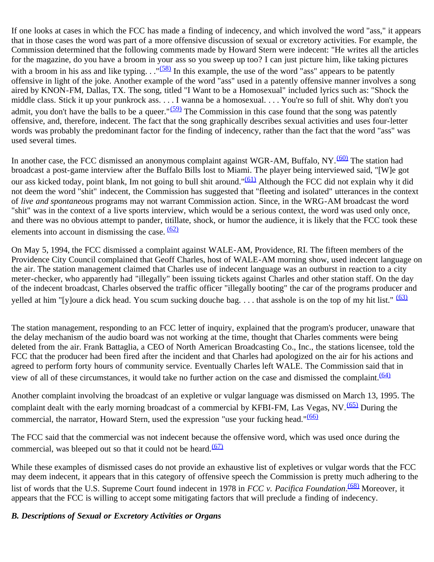If one looks at cases in which the FCC has made a finding of indecency, and which involved the word "ass," it appears that in those cases the word was part of a more offensive discussion of sexual or excretory activities. For example, the Commission determined that the following comments made by Howard Stern were indecent: "He writes all the articles for the magazine, do you have a broom in your ass so you sweep up too? I can just picture him, like taking pictures with a broom in his ass and like typing. . ."<sup>(58)</sup> In this example, the use of the word "ass" appears to be patently offensive in light of the joke. Another example of the word "ass" used in a patently offensive manner involves a song aired by KNON-FM, Dallas, TX. The song, titled "I Want to be a Homosexual" included lyrics such as: "Shock the middle class. Stick it up your punkrock ass. . . . I wanna be a homosexual. . . . You're so full of shit. Why don't you admit, you don't have the balls to be a queer." $(59)$  The Commission in this case found that the song was patently offensive, and, therefore, indecent. The fact that the song graphically describes sexual activities and uses four-letter words was probably the predominant factor for the finding of indecency, rather than the fact that the word "ass" was used several times.

In another case, the FCC dismissed an anonymous complaint against WGR-AM, Buffalo, NY.<sup>(60)</sup> The station had broadcast a post-game interview after the Buffalo Bills lost to Miami. The player being interviewed said, "[W]e got our ass kicked today, point blank, Im not going to bull shit around."<sup>(61)</sup> Although the FCC did not explain why it did not deem the word "shit" indecent, the Commission has suggested that "fleeting and isolated" utterances in the context of *live and spontaneous* programs may not warrant Commission action. Since, in the WRG-AM broadcast the word "shit" was in the context of a live sports interview, which would be a serious context, the word was used only once, and there was no obvious attempt to pander, titillate, shock, or humor the audience, it is likely that the FCC took these elements into account in dismissing the case.  $\frac{(62)}{2}$  $\frac{(62)}{2}$  $\frac{(62)}{2}$ 

On May 5, 1994, the FCC dismissed a complaint against WALE-AM, Providence, RI. The fifteen members of the Providence City Council complained that Geoff Charles, host of WALE-AM morning show, used indecent language on the air. The station management claimed that Charles use of indecent language was an outburst in reaction to a city meter-checker, who apparently had "illegally" been issuing tickets against Charles and other station staff. On the day of the indecent broadcast, Charles observed the traffic officer "illegally booting" the car of the programs producer and yelled at him "[y]oure a dick head. You scum sucking douche bag.  $\ldots$  that asshole is on the top of my hit list."  $\frac{(63)}{2}$  $\frac{(63)}{2}$  $\frac{(63)}{2}$ 

The station management, responding to an FCC letter of inquiry, explained that the program's producer, unaware that the delay mechanism of the audio board was not working at the time, thought that Charles comments were being deleted from the air. Frank Battaglia, a CEO of North American Broadcasting Co., Inc., the stations licensee, told the FCC that the producer had been fired after the incident and that Charles had apologized on the air for his actions and agreed to perform forty hours of community service. Eventually Charles left WALE. The Commission said that in view of all of these circumstances, it would take no further action on the case and dismissed the complaint.<sup>[\(64\)](#page-21-1)</sup>

Another complaint involving the broadcast of an expletive or vulgar language was dismissed on March 13, 1995. The complaint dealt with the early morning broadcast of a commercial by KFBI-FM, Las Vegas, NV.<sup>(65)</sup> During the commercial, the narrator, Howard Stern, used the expression "use your fucking head."<sup>[\(66\)](#page-21-3)</sup>

The FCC said that the commercial was not indecent because the offensive word, which was used once during the commercial, was bleeped out so that it could not be heard. $(67)$ 

While these examples of dismissed cases do not provide an exhaustive list of expletives or vulgar words that the FCC may deem indecent, it appears that in this category of offensive speech the Commission is pretty much adhering to the list of words that the U.S. Supreme Court found indecent in 1978 in *FCC v. Pacifica Foundation*.<sup>(68)</sup> Moreover, it appears that the FCC is willing to accept some mitigating factors that will preclude a finding of indecency.

### *B. Descriptions of Sexual or Excretory Activities or Organs*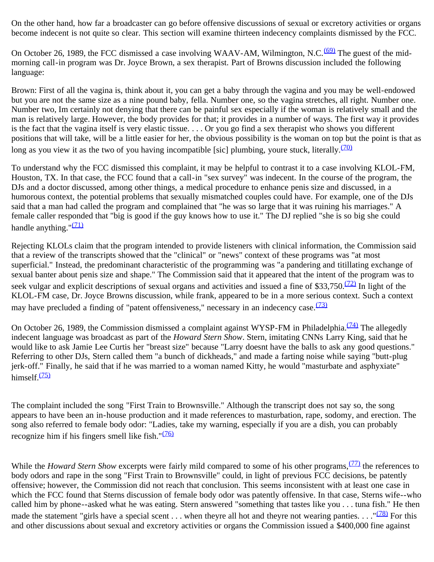On the other hand, how far a broadcaster can go before offensive discussions of sexual or excretory activities or organs become indecent is not quite so clear. This section will examine thirteen indecency complaints dismissed by the FCC.

On October 26, 1989, the FCC dismissed a case involving WAAV-AM, Wilmington, N.C.<sup>(69)</sup> The guest of the midmorning call-in program was Dr. Joyce Brown, a sex therapist. Part of Browns discussion included the following language:

Brown: First of all the vagina is, think about it, you can get a baby through the vagina and you may be well-endowed but you are not the same size as a nine pound baby, fella. Number one, so the vagina stretches, all right. Number one. Number two, Im certainly not denying that there can be painful sex especially if the woman is relatively small and the man is relatively large. However, the body provides for that; it provides in a number of ways. The first way it provides is the fact that the vagina itself is very elastic tissue. . . . Or you go find a sex therapist who shows you different positions that will take, will be a little easier for her, the obvious possibility is the woman on top but the point is that as long as you view it as the two of you having incompatible [sic] plumbing, youre stuck, literally. $(70)$ 

To understand why the FCC dismissed this complaint, it may be helpful to contrast it to a case involving KLOL-FM, Houston, TX. In that case, the FCC found that a call-in "sex survey" was indecent. In the course of the program, the DJs and a doctor discussed, among other things, a medical procedure to enhance penis size and discussed, in a humorous context, the potential problems that sexually mismatched couples could have. For example, one of the DJs said that a man had called the program and complained that "he was so large that it was ruining his marriages." A female caller responded that "big is good if the guy knows how to use it." The DJ replied "she is so big she could handle anything." $(71)$ 

Rejecting KLOLs claim that the program intended to provide listeners with clinical information, the Commission said that a review of the transcripts showed that the "clinical" or "news" context of these programs was "at most superficial." Instead, the predominant characteristic of the programming was "a pandering and titillating exchange of sexual banter about penis size and shape." The Commission said that it appeared that the intent of the program was to seek vulgar and explicit descriptions of sexual organs and activities and issued a fine of \$33,750.<sup>(72)</sup> In light of the KLOL-FM case, Dr. Joyce Browns discussion, while frank, appeared to be in a more serious context. Such a context may have precluded a finding of "patent offensiveness," necessary in an indecency case. $(73)$ 

On October 26, 1989, the Commission dismissed a complaint against WYSP-FM in Philadelphia.<sup>(74)</sup> The allegedly indecent language was broadcast as part of the *Howard Stern Show*. Stern, imitating CNNs Larry King, said that he would like to ask Jamie Lee Curtis her "breast size" because "Larry doesnt have the balls to ask any good questions." Referring to other DJs, Stern called them "a bunch of dickheads," and made a farting noise while saying "butt-plug jerk-off." Finally, he said that if he was married to a woman named Kitty, he would "masturbate and asphyxiate" himself $(75)$ 

The complaint included the song "First Train to Brownsville." Although the transcript does not say so, the song appears to have been an in-house production and it made references to masturbation, rape, sodomy, and erection. The song also referred to female body odor: "Ladies, take my warning, especially if you are a dish, you can probably recognize him if his fingers smell like fish." $(76)$ 

While the *Howard Stern Show* excerpts were fairly mild compared to some of his other programs,<sup>(77)</sup> the references to body odors and rape in the song "First Train to Brownsville" could, in light of previous FCC decisions, be patently offensive; however, the Commission did not reach that conclusion. This seems inconsistent with at least one case in which the FCC found that Sterns discussion of female body odor was patently offensive. In that case, Sterns wife--who called him by phone--asked what he was eating. Stern answered "something that tastes like you . . . tuna fish." He then made the statement "girls have a special scent . . . when theyre all hot and theyre not wearing panties. . . ."<sup>(78)</sup> For this and other discussions about sexual and excretory activities or organs the Commission issued a \$400,000 fine against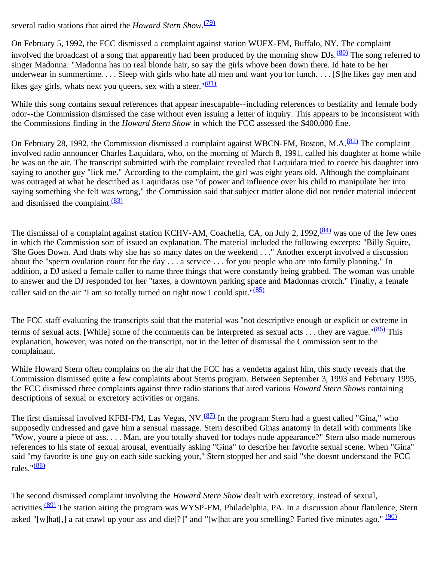several radio stations that aired the *Howard Stern Show*.<sup>[\(79\)](#page-23-2)</sup>

On February 5, 1992, the FCC dismissed a complaint against station WUFX-FM, Buffalo, NY. The complaint involved the broadcast of a song that apparently had been produced by the morning show  $\text{DIs.}(\frac{80}{10})$  The song referred to singer Madonna: "Madonna has no real blonde hair, so say the girls whove been down there. Id hate to be her underwear in summertime. . . . Sleep with girls who hate all men and want you for lunch. . . . [S]he likes gay men and likes gay girls, whats next you queers, sex with a steer." $(81)$ 

While this song contains sexual references that appear inescapable--including references to bestiality and female body odor--the Commission dismissed the case without even issuing a letter of inquiry. This appears to be inconsistent with the Commissions finding in the *Howard Stern Show* in which the FCC assessed the \$400,000 fine.

On February 28, 1992, the Commission dismissed a complaint against WBCN-FM, Boston, M.A.<sup>(82)</sup> The complaint involved radio announcer Charles Laquidara, who, on the morning of March 8, 1991, called his daughter at home while he was on the air. The transcript submitted with the complaint revealed that Laquidara tried to coerce his daughter into saying to another guy "lick me." According to the complaint, the girl was eight years old. Although the complainant was outraged at what he described as Laquidaras use "of power and influence over his child to manipulate her into saying something she felt was wrong," the Commission said that subject matter alone did not render material indecent and dismissed the complaint. $\frac{(83)}{83}$  $\frac{(83)}{83}$  $\frac{(83)}{83}$ 

The dismissal of a complaint against station KCHV-AM, Coachella, CA, on July 2, 1992, <sup>(84)</sup> was one of the few ones in which the Commission sort of issued an explanation. The material included the following excerpts: "Billy Squire, 'She Goes Down. And thats why she has so many dates on the weekend . . ." Another excerpt involved a discussion about the "sperm ovulation count for the day . . . a service . . . for you people who are into family planning." In addition, a DJ asked a female caller to name three things that were constantly being grabbed. The woman was unable to answer and the DJ responded for her "taxes, a downtown parking space and Madonnas crotch." Finally, a female caller said on the air "I am so totally turned on right now I could spit." $(85)$ 

The FCC staff evaluating the transcripts said that the material was "not descriptive enough or explicit or extreme in terms of sexual acts. [While] some of the comments can be interpreted as sexual acts  $\dots$  they are vague." $(86)$  This explanation, however, was noted on the transcript, not in the letter of dismissal the Commission sent to the complainant.

While Howard Stern often complains on the air that the FCC has a vendetta against him, this study reveals that the Commission dismissed quite a few complaints about Sterns program. Between September 3, 1993 and February 1995, the FCC dismissed three complaints against three radio stations that aired various *Howard Stern Shows* containing descriptions of sexual or excretory activities or organs.

The first dismissal involved KFBI-FM, Las Vegas, NV. $\frac{(87)}{10}$  In the program Stern had a guest called "Gina," who supposedly undressed and gave him a sensual massage. Stern described Ginas anatomy in detail with comments like "Wow, youre a piece of ass. . . . Man, are you totally shaved for todays nude appearance?" Stern also made numerous references to his state of sexual arousal, eventually asking "Gina" to describe her favorite sexual scene. When "Gina" said "my favorite is one guy on each side sucking your," Stern stopped her and said "she doesnt understand the FCC rules." $\frac{(88)}{8}$  $\frac{(88)}{8}$  $\frac{(88)}{8}$ 

The second dismissed complaint involving the *Howard Stern Show* dealt with excretory, instead of sexual, activities.<sup>(89)</sup> The station airing the program was WYSP-FM, Philadelphia, PA. In a discussion about flatulence, Stern asked "[w]hat[,] a rat crawl up your ass and die[?]" and "[w]hat are you smelling? Farted five minutes ago."  $(90)$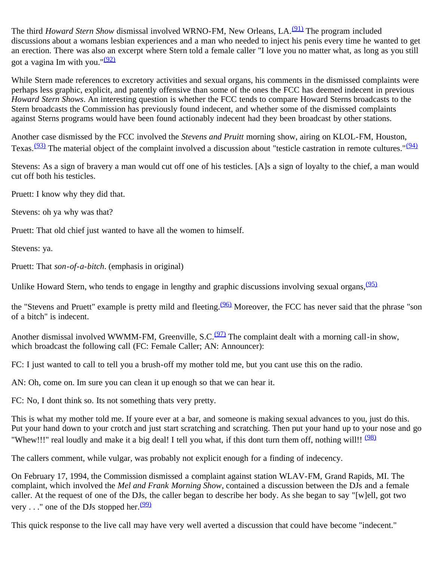The third *Howard Stern Show* dismissal involved WRNO-FM, New Orleans, LA.<sup>(91)</sup> The program included discussions about a womans lesbian experiences and a man who needed to inject his penis every time he wanted to get an erection. There was also an excerpt where Stern told a female caller "I love you no matter what, as long as you still got a vagina Im with you." $(92)$ 

While Stern made references to excretory activities and sexual organs, his comments in the dismissed complaints were perhaps less graphic, explicit, and patently offensive than some of the ones the FCC has deemed indecent in previous *Howard Stern Shows*. An interesting question is whether the FCC tends to compare Howard Sterns broadcasts to the Stern broadcasts the Commission has previously found indecent, and whether some of the dismissed complaints against Sterns programs would have been found actionably indecent had they been broadcast by other stations.

Another case dismissed by the FCC involved the *Stevens and Pruitt* morning show, airing on KLOL-FM, Houston, Texas.<sup>(93)</sup> The material object of the complaint involved a discussion about "testicle castration in remote cultures."<sup>[\(94\)](#page-27-1)</sup>

Stevens: As a sign of bravery a man would cut off one of his testicles. [A]s a sign of loyalty to the chief, a man would cut off both his testicles.

Pruett: I know why they did that.

Stevens: oh ya why was that?

Pruett: That old chief just wanted to have all the women to himself.

Stevens: ya.

Pruett: That *son-of-a-bitch*. (emphasis in original)

Unlike Howard Stern, who tends to engage in lengthy and graphic discussions involving sexual organs.<sup>[\(95\)](#page-27-2)</sup>

the "Stevens and Pruett" example is pretty mild and fleeting.<sup>(96)</sup> Moreover, the FCC has never said that the phrase "son of a bitch" is indecent.

Another dismissal involved WWMM-FM, Greenville, S.C. $\frac{(97)}{7}$  The complaint dealt with a morning call-in show, which broadcast the following call (FC: Female Caller; AN: Announcer):

FC: I just wanted to call to tell you a brush-off my mother told me, but you cant use this on the radio.

AN: Oh, come on. Im sure you can clean it up enough so that we can hear it.

FC: No, I dont think so. Its not something thats very pretty.

This is what my mother told me. If youre ever at a bar, and someone is making sexual advances to you, just do this. Put your hand down to your crotch and just start scratching and scratching. Then put your hand up to your nose and go "Whew!!!" real loudly and make it a big deal! I tell you what, if this dont turn them off, nothing will!!  $(98)$ 

The callers comment, while vulgar, was probably not explicit enough for a finding of indecency.

On February 17, 1994, the Commission dismissed a complaint against station WLAV-FM, Grand Rapids, MI. The complaint, which involved the *Mel and Frank Morning Show*, contained a discussion between the DJs and a female caller. At the request of one of the DJs, the caller began to describe her body. As she began to say "[w]ell, got two very  $\dots$ " one of the DJs stopped her.<sup>[\(99\)](#page-27-6)</sup>

This quick response to the live call may have very well averted a discussion that could have become "indecent."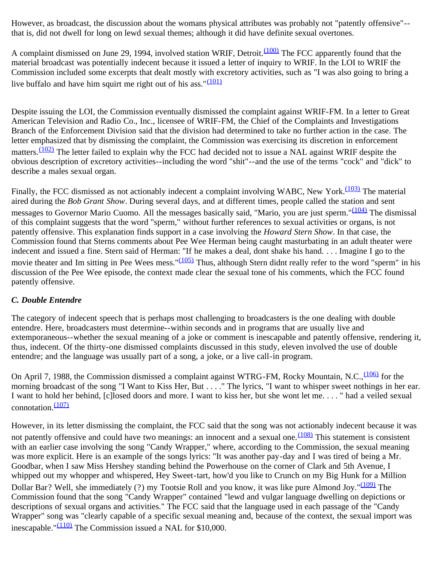However, as broadcast, the discussion about the womans physical attributes was probably not "patently offensive"- that is, did not dwell for long on lewd sexual themes; although it did have definite sexual overtones.

A complaint dismissed on June 29, 1994, involved station WRIF, Detroit.<sup>[\(100\)](#page-28-0)</sup> The FCC apparently found that the material broadcast was potentially indecent because it issued a letter of inquiry to WRIF. In the LOI to WRIF the Commission included some excerpts that dealt mostly with excretory activities, such as "I was also going to bring a live buffalo and have him squirt me right out of his ass." $\frac{(101)}{2}$  $\frac{(101)}{2}$  $\frac{(101)}{2}$ 

Despite issuing the LOI, the Commission eventually dismissed the complaint against WRIF-FM. In a letter to Great American Television and Radio Co., Inc., licensee of WRIF-FM, the Chief of the Complaints and Investigations Branch of the Enforcement Division said that the division had determined to take no further action in the case. The letter emphasized that by dismissing the complaint, the Commission was exercising its discretion in enforcement matters.  $(102)$  The letter failed to explain why the FCC had decided not to issue a NAL against WRIF despite the obvious description of excretory activities--including the word "shit"--and the use of the terms "cock" and "dick" to describe a males sexual organ.

Finally, the FCC dismissed as not actionably indecent a complaint involving WABC, New York.<sup>(103)</sup> The material aired during the *Bob Grant Show*. During several days, and at different times, people called the station and sent messages to Governor Mario Cuomo. All the messages basically said, "Mario, you are just sperm."<sup>(104)</sup> The dismissal of this complaint suggests that the word "sperm," without further references to sexual activities or organs, is not patently offensive. This explanation finds support in a case involving the *Howard Stern Show*. In that case, the Commission found that Sterns comments about Pee Wee Herman being caught masturbating in an adult theater were indecent and issued a fine. Stern said of Herman: "If he makes a deal, dont shake his hand. . . . Imagine I go to the movie theater and Im sitting in Pee Wees mess."<sup>[\(105\)](#page-29-3)</sup> Thus, although Stern didnt really refer to the word "sperm" in his discussion of the Pee Wee episode, the context made clear the sexual tone of his comments, which the FCC found patently offensive.

### *C. Double Entendre*

The category of indecent speech that is perhaps most challenging to broadcasters is the one dealing with double entendre. Here, broadcasters must determine--within seconds and in programs that are usually live and extemporaneous--whether the sexual meaning of a joke or comment is inescapable and patently offensive, rendering it, thus, indecent. Of the thirty-one dismissed complaints discussed in this study, eleven involved the use of double entendre; and the language was usually part of a song, a joke, or a live call-in program.

On April 7, 1988, the Commission dismissed a complaint against WTRG-FM, Rocky Mountain, N.C., <sup>[\(106\)](#page-29-4)</sup> for the morning broadcast of the song "I Want to Kiss Her, But . . . ." The lyrics, "I want to whisper sweet nothings in her ear. I want to hold her behind, [c]losed doors and more. I want to kiss her, but she wont let me. . . . " had a veiled sexual connotation.<sup>[\(107\)](#page-29-5)</sup>

However, in its letter dismissing the complaint, the FCC said that the song was not actionably indecent because it was not patently offensive and could have two meanings: an innocent and a sexual one.  $(108)$  This statement is consistent with an earlier case involving the song "Candy Wrapper," where, according to the Commission, the sexual meaning was more explicit. Here is an example of the songs lyrics: "It was another pay-day and I was tired of being a Mr. Goodbar, when I saw Miss Hershey standing behind the Powerhouse on the corner of Clark and 5th Avenue, I whipped out my whopper and whispered, Hey Sweet-tart, how'd you like to Crunch on my Big Hunk for a Million Dollar Bar? Well, she immediately (?) my Tootsie Roll and you know, it was like pure Almond Joy."<sup>(109)</sup> The Commission found that the song "Candy Wrapper" contained "lewd and vulgar language dwelling on depictions or descriptions of sexual organs and activities." The FCC said that the language used in each passage of the "Candy Wrapper" song was "clearly capable of a specific sexual meaning and, because of the context, the sexual import was inescapable." $\frac{(110)}{2}$  The Commission issued a NAL for \$10,000.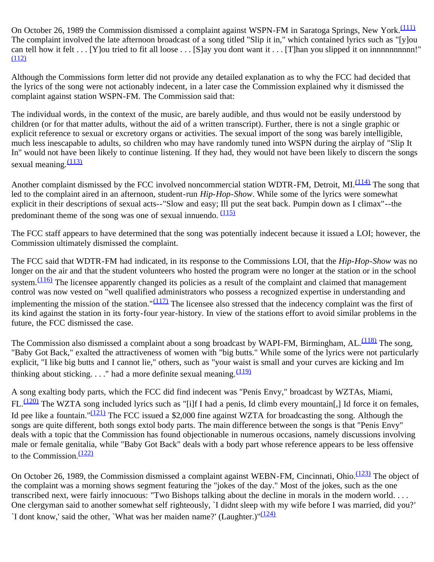On October 26, 1989 the Commission dismissed a complaint against WSPN-FM in Saratoga Springs, New York.<sup>[\(111\)](#page-29-9)</sup> The complaint involved the late afternoon broadcast of a song titled "Slip it in," which contained lyrics such as "[y]ou can tell how it felt  $\dots$  [Y] ou tried to fit all loose  $\dots$  [S] ay you dont want it  $\dots$  [T] han you slipped it on innnnnnnnnn!"  $(112)$ 

Although the Commissions form letter did not provide any detailed explanation as to why the FCC had decided that the lyrics of the song were not actionably indecent, in a later case the Commission explained why it dismissed the complaint against station WSPN-FM. The Commission said that:

The individual words, in the context of the music, are barely audible, and thus would not be easily understood by children (or for that matter adults, without the aid of a written transcript). Further, there is not a single graphic or explicit reference to sexual or excretory organs or activities. The sexual import of the song was barely intelligible, much less inescapable to adults, so children who may have randomly tuned into WSPN during the airplay of "Slip It In" would not have been likely to continue listening. If they had, they would not have been likely to discern the songs sexual meaning.  $\frac{(113)}{2}$  $\frac{(113)}{2}$  $\frac{(113)}{2}$ 

Another complaint dismissed by the FCC involved noncommercial station WDTR-FM, Detroit, MI.<sup>[\(114\)](#page-30-1)</sup> The song that led to the complaint aired in an afternoon, student-run *Hip-Hop-Show*. While some of the lyrics were somewhat explicit in their descriptions of sexual acts--"Slow and easy; Ill put the seat back. Pumpin down as I climax"--the predominant theme of the song was one of sexual innuendo.  $(115)$ 

The FCC staff appears to have determined that the song was potentially indecent because it issued a LOI; however, the Commission ultimately dismissed the complaint.

The FCC said that WDTR-FM had indicated, in its response to the Commissions LOI, that the *Hip-Hop-Show* was no longer on the air and that the student volunteers who hosted the program were no longer at the station or in the school system. $\frac{(116)}{116}$  The licensee apparently changed its policies as a result of the complaint and claimed that management control was now vested on "well qualified administrators who possess a recognized expertise in understanding and implementing the mission of the station." $(117)$  The licensee also stressed that the indecency complaint was the first of its kind against the station in its forty-four year-history. In view of the stations effort to avoid similar problems in the future, the FCC dismissed the case.

The Commission also dismissed a complaint about a song broadcast by WAPI-FM, Birmingham, AL.<sup>[\(118\)](#page-31-2)</sup> The song, "Baby Got Back," exalted the attractiveness of women with "big butts." While some of the lyrics were not particularly explicit, "I like big butts and I cannot lie," others, such as "your waist is small and your curves are kicking and Im thinking about sticking.  $\dots$ " had a more definite sexual meaning.  $\frac{(119)}{2}$  $\frac{(119)}{2}$  $\frac{(119)}{2}$ 

A song exalting body parts, which the FCC did find indecent was "Penis Envy," broadcast by WZTAs, Miami, FL. $\frac{(120)}{120}$  $\frac{(120)}{120}$  $\frac{(120)}{120}$  The WZTA song included lyrics such as "[i]f I had a penis, Id climb every mountain[,] Id force it on females, Id pee like a fountain." $(121)$  The FCC issued a \$2,000 fine against WZTA for broadcasting the song. Although the songs are quite different, both songs extol body parts. The main difference between the songs is that "Penis Envy" deals with a topic that the Commission has found objectionable in numerous occasions, namely discussions involving male or female genitalia, while "Baby Got Back" deals with a body part whose reference appears to be less offensive to the Commission. $\frac{(122)}{2}$  $\frac{(122)}{2}$  $\frac{(122)}{2}$ 

On October 26, 1989, the Commission dismissed a complaint against WEBN-FM, Cincinnati, Ohio.<sup>(123)</sup> The object of the complaint was a morning shows segment featuring the "jokes of the day." Most of the jokes, such as the one transcribed next, were fairly innocuous: "Two Bishops talking about the decline in morals in the modern world. . . . One clergyman said to another somewhat self righteously, `I didnt sleep with my wife before I was married, did you?' `I dont know,' said the other, `What was her maiden name?' (Laughter.)" $\frac{(124)}{2}$  $\frac{(124)}{2}$  $\frac{(124)}{2}$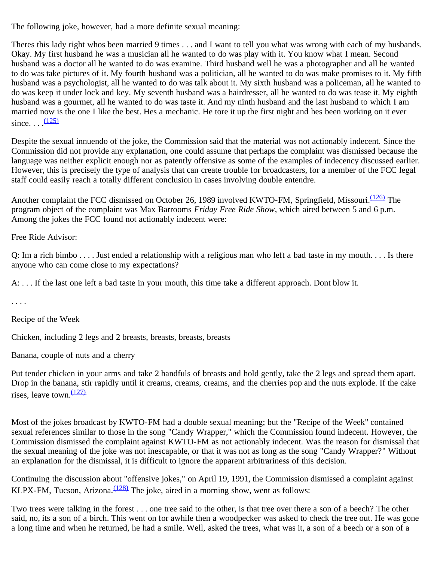The following joke, however, had a more definite sexual meaning:

Theres this lady right whos been married 9 times . . . and I want to tell you what was wrong with each of my husbands. Okay. My first husband he was a musician all he wanted to do was play with it. You know what I mean. Second husband was a doctor all he wanted to do was examine. Third husband well he was a photographer and all he wanted to do was take pictures of it. My fourth husband was a politician, all he wanted to do was make promises to it. My fifth husband was a psychologist, all he wanted to do was talk about it. My sixth husband was a policeman, all he wanted to do was keep it under lock and key. My seventh husband was a hairdresser, all he wanted to do was tease it. My eighth husband was a gourmet, all he wanted to do was taste it. And my ninth husband and the last husband to which I am married now is the one I like the best. Hes a mechanic. He tore it up the first night and hes been working on it ever since.  $\frac{(125)}{2}$  $\frac{(125)}{2}$  $\frac{(125)}{2}$ 

Despite the sexual innuendo of the joke, the Commission said that the material was not actionably indecent. Since the Commission did not provide any explanation, one could assume that perhaps the complaint was dismissed because the language was neither explicit enough nor as patently offensive as some of the examples of indecency discussed earlier. However, this is precisely the type of analysis that can create trouble for broadcasters, for a member of the FCC legal staff could easily reach a totally different conclusion in cases involving double entendre.

Another complaint the FCC dismissed on October 26, 1989 involved KWTO-FM, Springfield, Missouri. [\(126\)](#page-32-6) The program object of the complaint was Max Barrooms *Friday Free Ride Show*, which aired between 5 and 6 p.m. Among the jokes the FCC found not actionably indecent were:

Free Ride Advisor:

Q: Im a rich bimbo . . . . Just ended a relationship with a religious man who left a bad taste in my mouth. . . . Is there anyone who can come close to my expectations?

A: . . . If the last one left a bad taste in your mouth, this time take a different approach. Dont blow it.

. . . .

Recipe of the Week

Chicken, including 2 legs and 2 breasts, breasts, breasts, breasts

Banana, couple of nuts and a cherry

Put tender chicken in your arms and take 2 handfuls of breasts and hold gently, take the 2 legs and spread them apart. Drop in the banana, stir rapidly until it creams, creams, creams, and the cherries pop and the nuts explode. If the cake rises, leave town. $\frac{(127)}{2}$  $\frac{(127)}{2}$  $\frac{(127)}{2}$ 

Most of the jokes broadcast by KWTO-FM had a double sexual meaning; but the "Recipe of the Week" contained sexual references similar to those in the song "Candy Wrapper," which the Commission found indecent. However, the Commission dismissed the complaint against KWTO-FM as not actionably indecent. Was the reason for dismissal that the sexual meaning of the joke was not inescapable, or that it was not as long as the song "Candy Wrapper?" Without an explanation for the dismissal, it is difficult to ignore the apparent arbitrariness of this decision.

Continuing the discussion about "offensive jokes," on April 19, 1991, the Commission dismissed a complaint against KLPX-FM, Tucson, Arizona. $\frac{(128)}{100}$  The joke, aired in a morning show, went as follows:

Two trees were talking in the forest . . . one tree said to the other, is that tree over there a son of a beech? The other said, no, its a son of a birch. This went on for awhile then a woodpecker was asked to check the tree out. He was gone a long time and when he returned, he had a smile. Well, asked the trees, what was it, a son of a beech or a son of a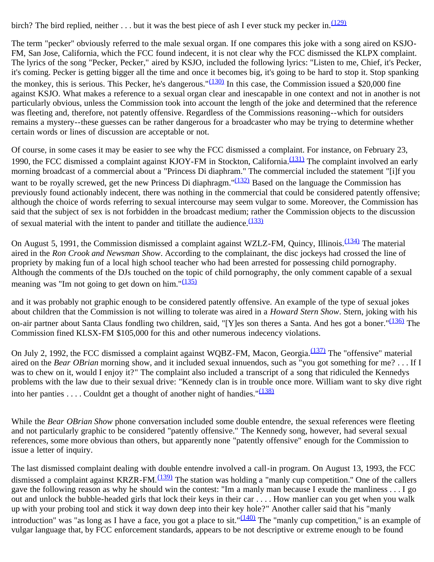birch? The bird replied, neither  $\dots$  but it was the best piece of ash I ever stuck my pecker in.<sup>[\(129\)](#page-32-9)</sup>

The term "pecker" obviously referred to the male sexual organ. If one compares this joke with a song aired on KSJO-FM, San Jose, California, which the FCC found indecent, it is not clear why the FCC dismissed the KLPX complaint. The lyrics of the song "Pecker, Pecker," aired by KSJO, included the following lyrics: "Listen to me, Chief, it's Pecker, it's coming. Pecker is getting bigger all the time and once it becomes big, it's going to be hard to stop it. Stop spanking the monkey, this is serious. This Pecker, he's dangerous." $(130)$  In this case, the Commission issued a \$20,000 fine against KSJO. What makes a reference to a sexual organ clear and inescapable in one context and not in another is not particularly obvious, unless the Commission took into account the length of the joke and determined that the reference was fleeting and, therefore, not patently offensive. Regardless of the Commissions reasoning--which for outsiders remains a mystery--these guesses can be rather dangerous for a broadcaster who may be trying to determine whether certain words or lines of discussion are acceptable or not.

Of course, in some cases it may be easier to see why the FCC dismissed a complaint. For instance, on February 23, 1990, the FCC dismissed a complaint against KJOY-FM in Stockton, California.<sup>[\(131\)](#page-33-0)</sup> The complaint involved an early morning broadcast of a commercial about a "Princess Di diaphram." The commercial included the statement "[i]f you want to be royally screwed, get the new Princess Di diaphragm."<sup>(132)</sup> Based on the language the Commission has previously found actionably indecent, there was nothing in the commercial that could be considered patently offensive; although the choice of words referring to sexual intercourse may seem vulgar to some. Moreover, the Commission has said that the subject of sex is not forbidden in the broadcast medium; rather the Commission objects to the discussion of sexual material with the intent to pander and titillate the audience.  $(133)$ 

On August 5, 1991, the Commission dismissed a complaint against WZLZ-FM, Quincy, Illinois.<sup>[\(134\)](#page-33-3)</sup> The material aired in the *Ron Crook and Newsman Show*. According to the complainant, the disc jockeys had crossed the line of propriety by making fun of a local high school teacher who had been arrested for possessing child pornography. Although the comments of the DJs touched on the topic of child pornography, the only comment capable of a sexual meaning was "Im not going to get down on him." $\frac{(135)}{2}$  $\frac{(135)}{2}$  $\frac{(135)}{2}$ 

and it was probably not graphic enough to be considered patently offensive. An example of the type of sexual jokes about children that the Commission is not willing to tolerate was aired in a *Howard Stern Show*. Stern, joking with his on-air partner about Santa Claus fondling two children, said, "[Y]es son theres a Santa. And hes got a boner."<sup>[\(136\)](#page-33-5)</sup> The Commission fined KLSX-FM \$105,000 for this and other numerous indecency violations.

On July 2, 1992, the FCC dismissed a complaint against WQBZ-FM, Macon, Georgia.<sup>[\(137\)](#page-33-6)</sup> The "offensive" material aired on the *Bear OBrian* morning show, and it included sexual innuendos, such as "you got something for me? . . . If I was to chew on it, would I enjoy it?" The complaint also included a transcript of a song that ridiculed the Kennedys problems with the law due to their sexual drive: "Kennedy clan is in trouble once more. William want to sky dive right into her panties . . . . Couldnt get a thought of another night of handies." $\frac{(138)}{2}$  $\frac{(138)}{2}$  $\frac{(138)}{2}$ 

While the *Bear OBrian Show* phone conversation included some double entendre, the sexual references were fleeting and not particularly graphic to be considered "patently offensive." The Kennedy song, however, had several sexual references, some more obvious than others, but apparently none "patently offensive" enough for the Commission to issue a letter of inquiry.

The last dismissed complaint dealing with double entendre involved a call-in program. On August 13, 1993, the FCC dismissed a complaint against KRZR-FM. $\frac{(139)}{129}$  $\frac{(139)}{129}$  $\frac{(139)}{129}$  The station was holding a "manly cup competition." One of the callers gave the following reason as why he should win the contest: "Im a manly man because I exude the manliness . . . I go out and unlock the bubble-headed girls that lock their keys in their car . . . . How manlier can you get when you walk up with your probing tool and stick it way down deep into their key hole?" Another caller said that his "manly introduction" was "as long as I have a face, you got a place to sit." $(140)$  The "manly cup competition," is an example of vulgar language that, by FCC enforcement standards, appears to be not descriptive or extreme enough to be found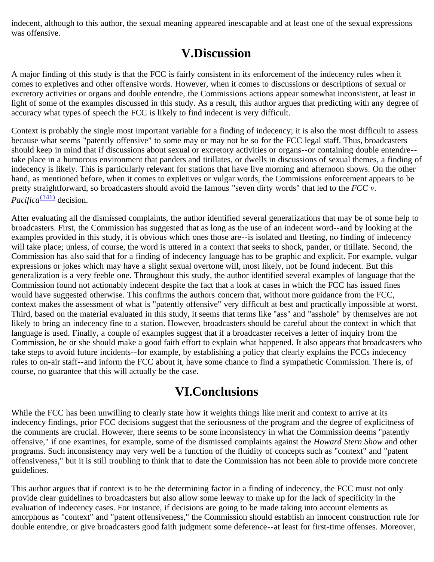indecent, although to this author, the sexual meaning appeared inescapable and at least one of the sexual expressions was offensive.

# **V.Discussion**

A major finding of this study is that the FCC is fairly consistent in its enforcement of the indecency rules when it comes to expletives and other offensive words. However, when it comes to discussions or descriptions of sexual or excretory activities or organs and double entendre, the Commissions actions appear somewhat inconsistent, at least in light of some of the examples discussed in this study. As a result, this author argues that predicting with any degree of accuracy what types of speech the FCC is likely to find indecent is very difficult.

Context is probably the single most important variable for a finding of indecency; it is also the most difficult to assess because what seems "patently offensive" to some may or may not be so for the FCC legal staff. Thus, broadcasters should keep in mind that if discussions about sexual or excretory activities or organs--or containing double entendre- take place in a humorous environment that panders and titillates, or dwells in discussions of sexual themes, a finding of indecency is likely. This is particularly relevant for stations that have live morning and afternoon shows. On the other hand, as mentioned before, when it comes to expletives or vulgar words, the Commissions enforcement appears to be pretty straightforward, so broadcasters should avoid the famous "seven dirty words" that led to the *FCC v. Pacifica*<sup>(141)</sup> decision.

After evaluating all the dismissed complaints, the author identified several generalizations that may be of some help to broadcasters. First, the Commission has suggested that as long as the use of an indecent word--and by looking at the examples provided in this study, it is obvious which ones those are--is isolated and fleeting, no finding of indecency will take place; unless, of course, the word is uttered in a context that seeks to shock, pander, or titillate. Second, the Commission has also said that for a finding of indecency language has to be graphic and explicit. For example, vulgar expressions or jokes which may have a slight sexual overtone will, most likely, not be found indecent. But this generalization is a very feeble one. Throughout this study, the author identified several examples of language that the Commission found not actionably indecent despite the fact that a look at cases in which the FCC has issued fines would have suggested otherwise. This confirms the authors concern that, without more guidance from the FCC, context makes the assessment of what is "patently offensive" very difficult at best and practically impossible at worst. Third, based on the material evaluated in this study, it seems that terms like "ass" and "asshole" by themselves are not likely to bring an indecency fine to a station. However, broadcasters should be careful about the context in which that language is used. Finally, a couple of examples suggest that if a broadcaster receives a letter of inquiry from the Commission, he or she should make a good faith effort to explain what happened. It also appears that broadcasters who take steps to avoid future incidents--for example, by establishing a policy that clearly explains the FCCs indecency rules to on-air staff--and inform the FCC about it, have some chance to find a sympathetic Commission. There is, of course, no guarantee that this will actually be the case.

# **VI.Conclusions**

While the FCC has been unwilling to clearly state how it weights things like merit and context to arrive at its indecency findings, prior FCC decisions suggest that the seriousness of the program and the degree of explicitness of the comments are crucial. However, there seems to be some inconsistency in what the Commission deems "patently offensive," if one examines, for example, some of the dismissed complaints against the *Howard Stern Show* and other programs. Such inconsistency may very well be a function of the fluidity of concepts such as "context" and "patent offensiveness," but it is still troubling to think that to date the Commission has not been able to provide more concrete guidelines.

This author argues that if context is to be the determining factor in a finding of indecency, the FCC must not only provide clear guidelines to broadcasters but also allow some leeway to make up for the lack of specificity in the evaluation of indecency cases. For instance, if decisions are going to be made taking into account elements as amorphous as "context" and "patent offensiveness," the Commission should establish an innocent construction rule for double entendre, or give broadcasters good faith judgment some deference--at least for first-time offenses. Moreover,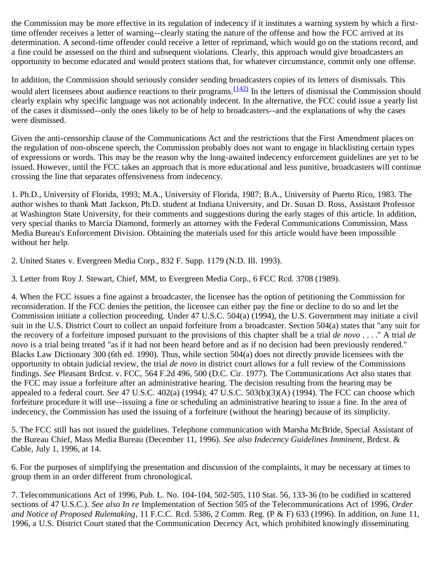the Commission may be more effective in its regulation of indecency if it institutes a warning system by which a firsttime offender receives a letter of warning--clearly stating the nature of the offense and how the FCC arrived at its determination. A second-time offender could receive a letter of reprimand, which would go on the stations record, and a fine could be assessed on the third and subsequent violations. Clearly, this approach would give broadcasters an opportunity to become educated and would protect stations that, for whatever circumstance, commit only one offense.

In addition, the Commission should seriously consider sending broadcasters copies of its letters of dismissals. This would alert licensees about audience reactions to their programs.  $(142)$  In the letters of dismissal the Commission should clearly explain why specific language was not actionably indecent. In the alternative, the FCC could issue a yearly list of the cases it dismissed--only the ones likely to be of help to broadcasters--and the explanations of why the cases were dismissed.

Given the anti-censorship clause of the Communications Act and the restrictions that the First Amendment places on the regulation of non-obscene speech, the Commission probably does not want to engage in blacklisting certain types of expressions or words. This may be the reason why the long-awaited indecency enforcement guidelines are yet to be issued. However, until the FCC takes an approach that is more educational and less punitive, broadcasters will continue crossing the line that separates offensiveness from indecency.

<span id="page-14-0"></span>1. Ph.D., University of Florida, 1993; M.A., University of Florida, 1987; B.A., University of Puerto Rico, 1983. The author wishes to thank Matt Jackson, Ph.D. student at Indiana University, and Dr. Susan D. Ross, Assistant Professor at Washington State University, for their comments and suggestions during the early stages of this article. In addition, very special thanks to Marcia Diamond, formerly an attorney with the Federal Communications Commission, Mass Media Bureau's Enforcement Division. Obtaining the materials used for this article would have been impossible without her help.

<span id="page-14-1"></span>2. United States v. Evergreen Media Corp., 832 F. Supp. 1179 (N.D. Ill. 1993).

<span id="page-14-2"></span>3. Letter from Roy J. Stewart, Chief, MM, to Evergreen Media Corp., 6 FCC Rcd. 3708 (1989).

<span id="page-14-3"></span>4. When the FCC issues a fine against a broadcaster, the licensee has the option of petitioning the Commission for reconsideration. If the FCC denies the petition, the licensee can either pay the fine or decline to do so and let the Commission initiate a collection proceeding. Under 47 U.S.C. 504(a) (1994), the U.S. Government may initiate a civil suit in the U.S. District Court to collect an unpaid forfeiture from a broadcaster. Section 504(a) states that "any suit for the recovery of a forfeiture imposed pursuant to the provisions of this chapter shall be a trial *de novo* . . . ." A trial *de novo* is a trial being treated "as if it had not been heard before and as if no decision had been previously rendered." Blacks Law Dictionary 300 (6th ed. 1990). Thus, while section 504(a) does not directly provide licensees with the opportunity to obtain judicial review, the trial *de novo* in district court allows for a full review of the Commissions findings. *See* Pleasant Brdcst. v. FCC, 564 F.2d 496, 500 (D.C. Cir. 1977). The Communications Act also states that the FCC may issue a forfeiture after an administrative hearing. The decision resulting from the hearing may be appealed to a federal court. *See* 47 U.S.C. 402(a) (1994); 47 U.S.C. 503(b)(3)(A) (1994). The FCC can choose which forfeiture procedure it will use--issuing a fine or scheduling an administrative hearing to issue a fine. In the area of indecency, the Commission has used the issuing of a forfeiture (without the hearing) because of its simplicity.

<span id="page-14-4"></span>5. The FCC still has not issued the guidelines. Telephone communication with Marsha McBride, Special Assistant of the Bureau Chief, Mass Media Bureau (December 11, 1996). *See also Indecency Guidelines Imminent*, Brdcst. & Cable, July 1, 1996, at 14.

<span id="page-14-5"></span>6. For the purposes of simplifying the presentation and discussion of the complaints, it may be necessary at times to group them in an order different from chronological.

<span id="page-14-6"></span>7. Telecommunications Act of 1996, Pub. L. No. 104-104, 502-505, 110 Stat. 56, 133-36 (to be codified in scattered sections of 47 U.S.C.). *See also In re* Implementation of Section 505 of the Telecommunications Act of 1996, *Order and Notice of Proposed Rulemaking*, 11 F.C.C. Rcd. 5386, 2 Comm. Reg. (P & F) 633 (1996). In addition, on June 11, 1996, a U.S. District Court stated that the Communication Decency Act, which prohibited knowingly disseminating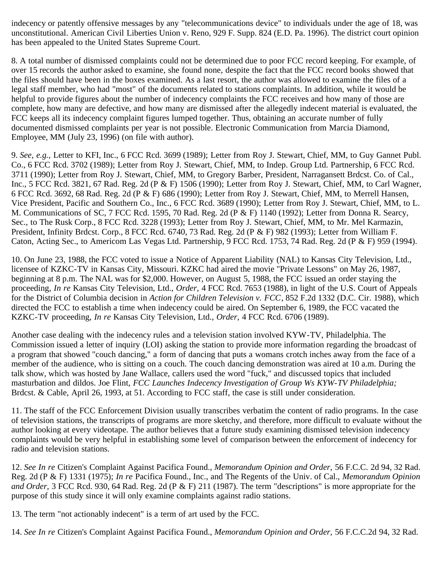indecency or patently offensive messages by any "telecommunications device" to individuals under the age of 18, was unconstitutional. American Civil Liberties Union v. Reno, 929 F. Supp. 824 (E.D. Pa. 1996). The district court opinion has been appealed to the United States Supreme Court.

<span id="page-15-0"></span>8. A total number of dismissed complaints could not be determined due to poor FCC record keeping. For example, of over 15 records the author asked to examine, she found none, despite the fact that the FCC record books showed that the files should have been in the boxes examined. As a last resort, the author was allowed to examine the files of a legal staff member, who had "most" of the documents related to stations complaints. In addition, while it would be helpful to provide figures about the number of indecency complaints the FCC receives and how many of those are complete, how many are defective, and how many are dismissed after the allegedly indecent material is evaluated, the FCC keeps all its indecency complaint figures lumped together. Thus, obtaining an accurate number of fully documented dismissed complaints per year is not possible. Electronic Communication from Marcia Diamond, Employee, MM (July 23, 1996) (on file with author).

<span id="page-15-1"></span>9. *See, e.g.,* Letter to KFI, Inc., 6 FCC Rcd. 3699 (1989); Letter from Roy J. Stewart, Chief, MM, to Guy Gannet Publ. Co., 6 FCC Rcd. 3702 (1989); Letter from Roy J. Stewart, Chief, MM, to Indep. Group Ltd. Partnership, 6 FCC Rcd. 3711 (1990); Letter from Roy J. Stewart, Chief, MM, to Gregory Barber, President, Narragansett Brdcst. Co. of Cal., Inc., 5 FCC Rcd. 3821, 67 Rad. Reg. 2d (P & F) 1506 (1990); Letter from Roy J. Stewart, Chief, MM, to Carl Wagner, 6 FCC Rcd. 3692, 68 Rad. Reg. 2d (P & F) 686 (1990); Letter from Roy J. Stewart, Chief, MM, to Merrell Hansen, Vice President, Pacific and Southern Co., Inc., 6 FCC Rcd. 3689 (1990); Letter from Roy J. Stewart, Chief, MM, to L. M. Communications of SC, 7 FCC Rcd. 1595, 70 Rad. Reg. 2d (P & F) 1140 (1992); Letter from Donna R. Searcy, Sec., to The Rusk Corp., 8 FCC Rcd. 3228 (1993); Letter from Roy J. Stewart, Chief, MM, to Mr. Mel Karmazin, President, Infinity Brdcst. Corp., 8 FCC Rcd. 6740, 73 Rad. Reg. 2d (P & F) 982 (1993); Letter from William F. Caton, Acting Sec., to Americom Las Vegas Ltd. Partnership, 9 FCC Rcd. 1753, 74 Rad. Reg. 2d (P & F) 959 (1994).

<span id="page-15-2"></span>10. On June 23, 1988, the FCC voted to issue a Notice of Apparent Liability (NAL) to Kansas City Television, Ltd., licensee of KZKC-TV in Kansas City, Missouri. KZKC had aired the movie "Private Lessons" on May 26, 1987, beginning at 8 p.m. The NAL was for \$2,000. However, on August 5, 1988, the FCC issued an order staying the proceeding, *In re* Kansas City Television, Ltd., *Order,* 4 FCC Rcd. 7653 (1988), in light of the U.S. Court of Appeals for the District of Columbia decision in *Action for Children Television v. FCC*, 852 F.2d 1332 (D.C. Cir. 1988), which directed the FCC to establish a time when indecency could be aired. On September 6, 1989, the FCC vacated the KZKC-TV proceeding, *In re* Kansas City Television, Ltd., *Order,* 4 FCC Rcd. 6706 (1989).

Another case dealing with the indecency rules and a television station involved KYW-TV, Philadelphia. The Commission issued a letter of inquiry (LOI) asking the station to provide more information regarding the broadcast of a program that showed "couch dancing," a form of dancing that puts a womans crotch inches away from the face of a member of the audience, who is sitting on a couch. The couch dancing demonstration was aired at 10 a.m. During the talk show, which was hosted by Jane Wallace, callers used the word "fuck," and discussed topics that included masturbation and dildos. Joe Flint, *FCC Launches Indecency Investigation of Group Ws KYW-TV Philadelphia;* Brdcst. & Cable, April 26, 1993, at 51. According to FCC staff, the case is still under consideration.

<span id="page-15-3"></span>11. The staff of the FCC Enforcement Division usually transcribes verbatim the content of radio programs. In the case of television stations, the transcripts of programs are more sketchy, and therefore, more difficult to evaluate without the author looking at every videotape. The author believes that a future study examining dismissed television indecency complaints would be very helpful in establishing some level of comparison between the enforcement of indecency for radio and television stations.

<span id="page-15-4"></span>12. *See In re* Citizen's Complaint Against Pacifica Found., *Memorandum Opinion and Order,* 56 F.C.C. 2d 94, 32 Rad. Reg. 2d (P & F) 1331 (1975); *In re* Pacifica Found., Inc., and The Regents of the Univ. of Cal., *Memorandum Opinion and Order,* 3 FCC Rcd. 930, 64 Rad. Reg. 2d (P & F) 211 (1987). The term "descriptions" is more appropriate for the purpose of this study since it will only examine complaints against radio stations.

<span id="page-15-5"></span>13. The term "not actionably indecent" is a term of art used by the FCC.

<span id="page-15-6"></span>14. *See In re* Citizen's Complaint Against Pacifica Found., *Memorandum Opinion and Order,* 56 F.C.C.2d 94, 32 Rad.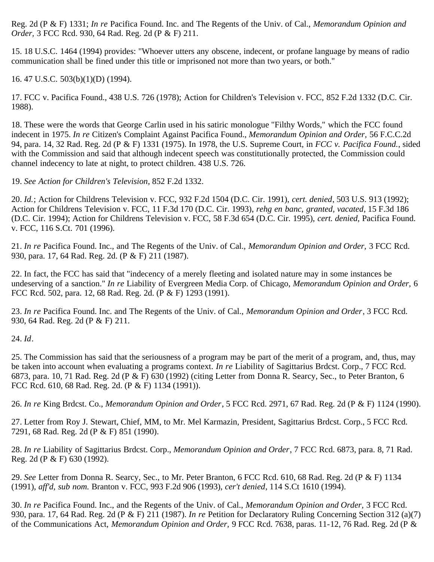Reg. 2d (P & F) 1331; *In re* Pacifica Found. Inc. and The Regents of the Univ. of Cal., *Memorandum Opinion and Order,* 3 FCC Rcd. 930, 64 Rad. Reg. 2d (P & F) 211.

<span id="page-16-0"></span>15. 18 U.S.C. 1464 (1994) provides: "Whoever utters any obscene, indecent, or profane language by means of radio communication shall be fined under this title or imprisoned not more than two years, or both."

<span id="page-16-1"></span>16. 47 U.S.C. 503(b)(1)(D) (1994).

<span id="page-16-2"></span>17. FCC v. Pacifica Found., 438 U.S. 726 (1978); Action for Children's Television v. FCC, 852 F.2d 1332 (D.C. Cir. 1988).

<span id="page-16-3"></span>18. These were the words that George Carlin used in his satiric monologue "Filthy Words," which the FCC found indecent in 1975. *In re* Citizen's Complaint Against Pacifica Found., *Memorandum Opinion and Order,* 56 F.C.C.2d 94, para. 14, 32 Rad. Reg. 2d (P & F) 1331 (1975). In 1978, the U.S. Supreme Court, in *FCC v. Pacifica Found.*, sided with the Commission and said that although indecent speech was constitutionally protected, the Commission could channel indecency to late at night, to protect children. 438 U.S. 726.

<span id="page-16-4"></span>19. *See Action for Children's Television*, 852 F.2d 1332.

<span id="page-16-5"></span>20. *Id.*; Action for Childrens Television v. FCC, 932 F.2d 1504 (D.C. Cir. 1991), *cert. denied*, 503 U.S. 913 (1992); Action for Childrens Television v. FCC, 11 F.3d 170 (D.C. Cir. 1993), *rehg en banc, granted, vacated*, 15 F.3d 186 (D.C. Cir. 1994); Action for Childrens Television v. FCC, 58 F.3d 654 (D.C. Cir. 1995), *cert. denied,* Pacifica Found. v. FCC, 116 S.Ct. 701 (1996).

<span id="page-16-6"></span>21. *In re* Pacifica Found. Inc., and The Regents of the Univ. of Cal., *Memorandum Opinion and Order,* 3 FCC Rcd. 930, para. 17, 64 Rad. Reg. 2d. (P & F) 211 (1987).

<span id="page-16-7"></span>22. In fact, the FCC has said that "indecency of a merely fleeting and isolated nature may in some instances be undeserving of a sanction." *In re* Liability of Evergreen Media Corp. of Chicago, *Memorandum Opinion and Order,* 6 FCC Rcd. 502, para. 12, 68 Rad. Reg. 2d. (P & F) 1293 (1991).

<span id="page-16-8"></span>23. *In re* Pacifica Found. Inc. and The Regents of the Univ. of Cal., *Memorandum Opinion and Order*, 3 FCC Rcd. 930, 64 Rad. Reg. 2d (P & F) 211.

<span id="page-16-9"></span>24. *Id*.

<span id="page-16-10"></span>25. The Commission has said that the seriousness of a program may be part of the merit of a program, and, thus, may be taken into account when evaluating a programs context. *In re* Liability of Sagittarius Brdcst. Corp., 7 FCC Rcd. 6873, para. 10, 71 Rad. Reg. 2d (P & F) 630 (1992) (citing Letter from Donna R. Searcy, Sec., to Peter Branton, 6 FCC Rcd. 610, 68 Rad. Reg. 2d. (P & F) 1134 (1991)).

<span id="page-16-11"></span>26. *In re* King Brdcst. Co., *Memorandum Opinion and Order*, 5 FCC Rcd. 2971, 67 Rad. Reg. 2d (P & F) 1124 (1990).

<span id="page-16-12"></span>27. Letter from Roy J. Stewart, Chief, MM, to Mr. Mel Karmazin, President, Sagittarius Brdcst. Corp., 5 FCC Rcd. 7291, 68 Rad. Reg. 2d (P & F) 851 (1990).

<span id="page-16-13"></span>28. *In re* Liability of Sagittarius Brdcst. Corp., *Memorandum Opinion and Order*, 7 FCC Rcd. 6873, para. 8, 71 Rad. Reg. 2d (P & F) 630 (1992).

<span id="page-16-14"></span>29. *See* Letter from Donna R. Searcy, Sec., to Mr. Peter Branton, 6 FCC Rcd. 610, 68 Rad. Reg. 2d (P & F) 1134 (1991), *aff'd, sub nom.* Branton v. FCC, 993 F.2d 906 (1993), *cer't denied*, 114 S.Ct 1610 (1994).

<span id="page-16-15"></span>30. *In re* Pacifica Found. Inc., and the Regents of the Univ. of Cal., *Memorandum Opinion and Order,* 3 FCC Rcd. 930, para. 17, 64 Rad. Reg. 2d (P & F) 211 (1987). *In re* Petition for Declaratory Ruling Concerning Section 312 (a)(7) of the Communications Act, *Memorandum Opinion and Order,* 9 FCC Rcd. 7638, paras. 11-12, 76 Rad. Reg. 2d (P &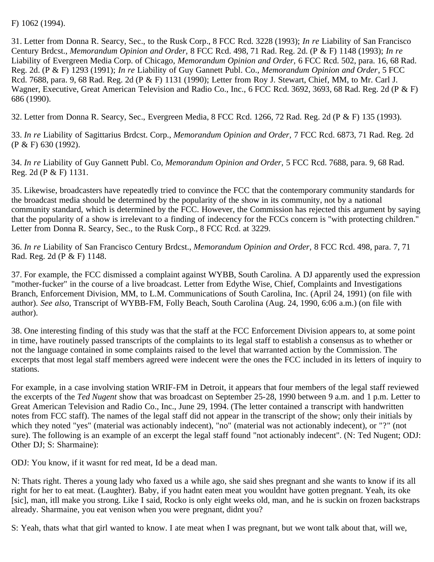F) 1062 (1994).

<span id="page-17-0"></span>31. Letter from Donna R. Searcy, Sec., to the Rusk Corp., 8 FCC Rcd. 3228 (1993); *In re* Liability of San Francisco Century Brdcst., *Memorandum Opinion and Order,* 8 FCC Rcd. 498, 71 Rad. Reg. 2d. (P & F) 1148 (1993); *In re* Liability of Evergreen Media Corp. of Chicago, *Memorandum Opinion and Order,* 6 FCC Rcd. 502, para. 16, 68 Rad. Reg. 2d. (P & F) 1293 (1991); *In re* Liability of Guy Gannett Publ. Co., *Memorandum Opinion and Order*, 5 FCC Rcd. 7688, para. 9, 68 Rad. Reg. 2d (P & F) 1131 (1990); Letter from Roy J. Stewart, Chief, MM, to Mr. Carl J. Wagner, Executive, Great American Television and Radio Co., Inc., 6 FCC Rcd. 3692, 3693, 68 Rad. Reg. 2d (P & F) 686 (1990).

<span id="page-17-1"></span>32. Letter from Donna R. Searcy, Sec., Evergreen Media, 8 FCC Rcd. 1266, 72 Rad. Reg. 2d (P & F) 135 (1993).

<span id="page-17-2"></span>33. *In re* Liability of Sagittarius Brdcst. Corp., *Memorandum Opinion and Order,* 7 FCC Rcd. 6873, 71 Rad. Reg. 2d (P & F) 630 (1992).

<span id="page-17-3"></span>34. *In re* Liability of Guy Gannett Publ. Co, *Memorandum Opinion and Order,* 5 FCC Rcd. 7688, para. 9, 68 Rad. Reg. 2d (P & F) 1131.

<span id="page-17-4"></span>35. Likewise, broadcasters have repeatedly tried to convince the FCC that the contemporary community standards for the broadcast media should be determined by the popularity of the show in its community, not by a national community standard, which is determined by the FCC. However, the Commission has rejected this argument by saying that the popularity of a show is irrelevant to a finding of indecency for the FCCs concern is "with protecting children." Letter from Donna R. Searcy, Sec., to the Rusk Corp., 8 FCC Rcd. at 3229.

<span id="page-17-5"></span>36. *In re* Liability of San Francisco Century Brdcst., *Memorandum Opinion and Order,* 8 FCC Rcd. 498, para. 7, 71 Rad. Reg. 2d (P & F) 1148.

<span id="page-17-6"></span>37. For example, the FCC dismissed a complaint against WYBB, South Carolina. A DJ apparently used the expression "mother-fucker" in the course of a live broadcast. Letter from Edythe Wise, Chief, Complaints and Investigations Branch, Enforcement Division, MM, to L.M. Communications of South Carolina, Inc. (April 24, 1991) (on file with author). *See also,* Transcript of WYBB-FM, Folly Beach, South Carolina (Aug. 24, 1990, 6:06 a.m.) (on file with author).

<span id="page-17-7"></span>38. One interesting finding of this study was that the staff at the FCC Enforcement Division appears to, at some point in time, have routinely passed transcripts of the complaints to its legal staff to establish a consensus as to whether or not the language contained in some complaints raised to the level that warranted action by the Commission. The excerpts that most legal staff members agreed were indecent were the ones the FCC included in its letters of inquiry to stations.

For example, in a case involving station WRIF-FM in Detroit, it appears that four members of the legal staff reviewed the excerpts of the *Ted Nugent* show that was broadcast on September 25-28, 1990 between 9 a.m. and 1 p.m. Letter to Great American Television and Radio Co., Inc., June 29, 1994. (The letter contained a transcript with handwritten notes from FCC staff). The names of the legal staff did not appear in the transcript of the show; only their initials by which they noted "yes" (material was actionably indecent), "no" (material was not actionably indecent), or "?" (not sure). The following is an example of an excerpt the legal staff found "not actionably indecent". (N: Ted Nugent; ODJ: Other DJ; S: Sharmaine):

ODJ: You know, if it wasnt for red meat, Id be a dead man.

N: Thats right. Theres a young lady who faxed us a while ago, she said shes pregnant and she wants to know if its all right for her to eat meat. (Laughter). Baby, if you hadnt eaten meat you wouldnt have gotten pregnant. Yeah, its oke [sic], man, itll make you strong. Like I said, Rocko is only eight weeks old, man, and he is suckin on frozen backstraps already. Sharmaine, you eat venison when you were pregnant, didnt you?

S: Yeah, thats what that girl wanted to know. I ate meat when I was pregnant, but we wont talk about that, will we,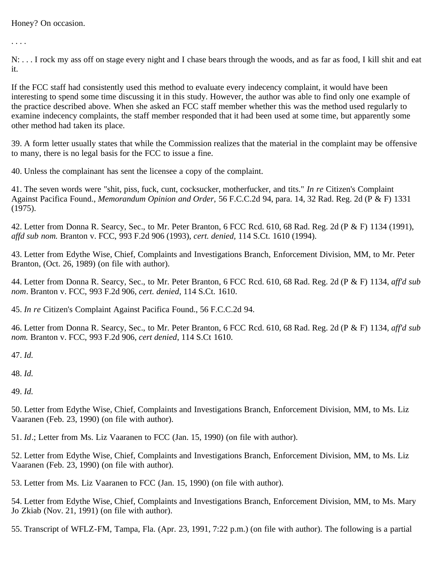Honey? On occasion.

. . . .

N: . . . I rock my ass off on stage every night and I chase bears through the woods, and as far as food, I kill shit and eat it.

If the FCC staff had consistently used this method to evaluate every indecency complaint, it would have been interesting to spend some time discussing it in this study. However, the author was able to find only one example of the practice described above. When she asked an FCC staff member whether this was the method used regularly to examine indecency complaints, the staff member responded that it had been used at some time, but apparently some other method had taken its place.

<span id="page-18-0"></span>39. A form letter usually states that while the Commission realizes that the material in the complaint may be offensive to many, there is no legal basis for the FCC to issue a fine.

<span id="page-18-1"></span>40. Unless the complainant has sent the licensee a copy of the complaint.

<span id="page-18-2"></span>41. The seven words were "shit, piss, fuck, cunt, cocksucker, motherfucker, and tits." *In re* Citizen's Complaint Against Pacifica Found., *Memorandum Opinion and Order,* 56 F.C.C.2d 94, para. 14, 32 Rad. Reg. 2d (P & F) 1331 (1975).

<span id="page-18-3"></span>42. Letter from Donna R. Searcy, Sec., to Mr. Peter Branton, 6 FCC Rcd. 610, 68 Rad. Reg. 2d (P & F) 1134 (1991), *affd sub nom.* Branton v. FCC, 993 F.2d 906 (1993), *cert. denied,* 114 S.Ct. 1610 (1994).

<span id="page-18-4"></span>43. Letter from Edythe Wise, Chief, Complaints and Investigations Branch, Enforcement Division, MM, to Mr. Peter Branton, (Oct. 26, 1989) (on file with author).

<span id="page-18-5"></span>44. Letter from Donna R. Searcy, Sec., to Mr. Peter Branton, 6 FCC Rcd. 610, 68 Rad. Reg. 2d (P & F) 1134, *aff'd sub nom*. Branton v. FCC, 993 F.2d 906, *cert. denied*, 114 S.Ct. 1610.

<span id="page-18-6"></span>45. *In re* Citizen's Complaint Against Pacifica Found., 56 F.C.C.2d 94.

<span id="page-18-7"></span>46. Letter from Donna R. Searcy, Sec., to Mr. Peter Branton, 6 FCC Rcd. 610, 68 Rad. Reg. 2d (P & F) 1134, *aff'd sub nom.* Branton v. FCC, 993 F.2d 906, *cert denied*, 114 S.Ct 1610.

<span id="page-18-8"></span>47. *Id.*

<span id="page-18-9"></span>48. *Id.*

<span id="page-18-10"></span>49. *Id.*

<span id="page-18-11"></span>50. Letter from Edythe Wise, Chief, Complaints and Investigations Branch, Enforcement Division, MM, to Ms. Liz Vaaranen (Feb. 23, 1990) (on file with author).

<span id="page-18-12"></span>51. *Id*.; Letter from Ms. Liz Vaaranen to FCC (Jan. 15, 1990) (on file with author).

<span id="page-18-13"></span>52. Letter from Edythe Wise, Chief, Complaints and Investigations Branch, Enforcement Division, MM, to Ms. Liz Vaaranen (Feb. 23, 1990) (on file with author).

<span id="page-18-14"></span>53. Letter from Ms. Liz Vaaranen to FCC (Jan. 15, 1990) (on file with author).

<span id="page-18-15"></span>54. Letter from Edythe Wise, Chief, Complaints and Investigations Branch, Enforcement Division, MM, to Ms. Mary Jo Zkiab (Nov. 21, 1991) (on file with author).

<span id="page-18-16"></span>55. Transcript of WFLZ-FM, Tampa, Fla. (Apr. 23, 1991, 7:22 p.m.) (on file with author). The following is a partial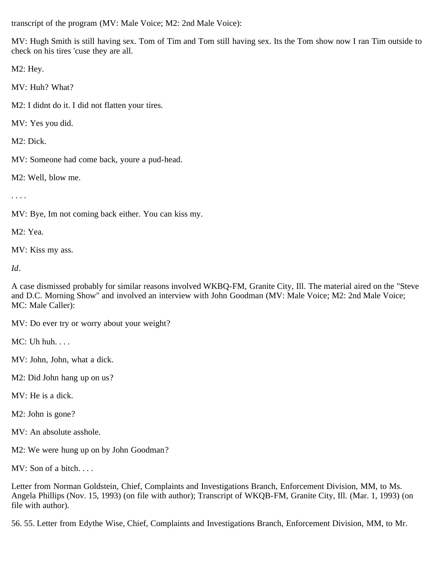transcript of the program (MV: Male Voice; M2: 2nd Male Voice):

MV: Hugh Smith is still having sex. Tom of Tim and Tom still having sex. Its the Tom show now I ran Tim outside to check on his tires 'cuse they are all.

M2: Hey.

MV: Huh? What?

M2: I didnt do it. I did not flatten your tires.

MV: Yes you did.

M2: Dick.

MV: Someone had come back, youre a pud-head.

M2: Well, blow me.

. . . .

MV: Bye, Im not coming back either. You can kiss my.

M2: Yea.

MV: Kiss my ass.

*Id*.

A case dismissed probably for similar reasons involved WKBQ-FM, Granite City, Ill. The material aired on the "Steve and D.C. Morning Show" and involved an interview with John Goodman (MV: Male Voice; M2: 2nd Male Voice; MC: Male Caller):

MV: Do ever try or worry about your weight?

 $MC:$  Uh huh.  $\ldots$ 

MV: John, John, what a dick.

M2: Did John hang up on us?

MV: He is a dick.

M2: John is gone?

MV: An absolute asshole.

M2: We were hung up on by John Goodman?

MV: Son of a bitch....

Letter from Norman Goldstein, Chief, Complaints and Investigations Branch, Enforcement Division, MM, to Ms. Angela Phillips (Nov. 15, 1993) (on file with author); Transcript of WKQB-FM, Granite City, Ill. (Mar. 1, 1993) (on file with author).

<span id="page-19-0"></span>56. 55. Letter from Edythe Wise, Chief, Complaints and Investigations Branch, Enforcement Division, MM, to Mr.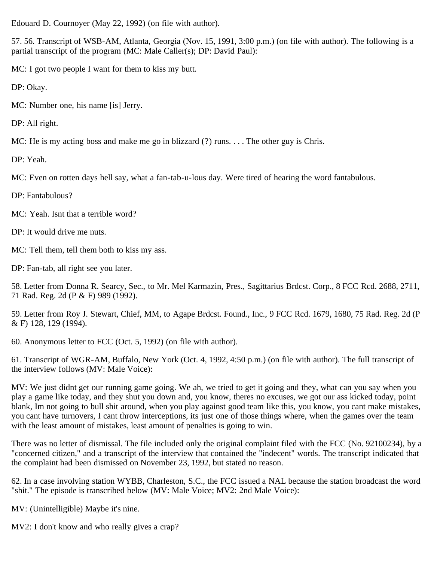Edouard D. Cournoyer (May 22, 1992) (on file with author).

<span id="page-20-0"></span>57. 56. Transcript of WSB-AM, Atlanta, Georgia (Nov. 15, 1991, 3:00 p.m.) (on file with author). The following is a partial transcript of the program (MC: Male Caller(s); DP: David Paul):

MC: I got two people I want for them to kiss my butt.

DP: Okay.

MC: Number one, his name [is] Jerry.

DP: All right.

MC: He is my acting boss and make me go in blizzard (?) runs. . . . The other guy is Chris.

DP: Yeah.

MC: Even on rotten days hell say, what a fan-tab-u-lous day. Were tired of hearing the word fantabulous.

DP: Fantabulous?

MC: Yeah. Isnt that a terrible word?

DP: It would drive me nuts.

MC: Tell them, tell them both to kiss my ass.

DP: Fan-tab, all right see you later.

<span id="page-20-1"></span>58. Letter from Donna R. Searcy, Sec., to Mr. Mel Karmazin, Pres., Sagittarius Brdcst. Corp., 8 FCC Rcd. 2688, 2711, 71 Rad. Reg. 2d (P & F) 989 (1992).

<span id="page-20-2"></span>59. Letter from Roy J. Stewart, Chief, MM, to Agape Brdcst. Found., Inc., 9 FCC Rcd. 1679, 1680, 75 Rad. Reg. 2d (P & F) 128, 129 (1994).

<span id="page-20-3"></span>60. Anonymous letter to FCC (Oct. 5, 1992) (on file with author).

<span id="page-20-4"></span>61. Transcript of WGR-AM, Buffalo, New York (Oct. 4, 1992, 4:50 p.m.) (on file with author). The full transcript of the interview follows (MV: Male Voice):

MV: We just didnt get our running game going. We ah, we tried to get it going and they, what can you say when you play a game like today, and they shut you down and, you know, theres no excuses, we got our ass kicked today, point blank, Im not going to bull shit around, when you play against good team like this, you know, you cant make mistakes, you cant have turnovers, I cant throw interceptions, its just one of those things where, when the games over the team with the least amount of mistakes, least amount of penalties is going to win.

There was no letter of dismissal. The file included only the original complaint filed with the FCC (No. 92100234), by a "concerned citizen," and a transcript of the interview that contained the "indecent" words. The transcript indicated that the complaint had been dismissed on November 23, 1992, but stated no reason.

<span id="page-20-5"></span>62. In a case involving station WYBB, Charleston, S.C., the FCC issued a NAL because the station broadcast the word "shit." The episode is transcribed below (MV: Male Voice; MV2: 2nd Male Voice):

MV: (Unintelligible) Maybe it's nine.

MV2: I don't know and who really gives a crap?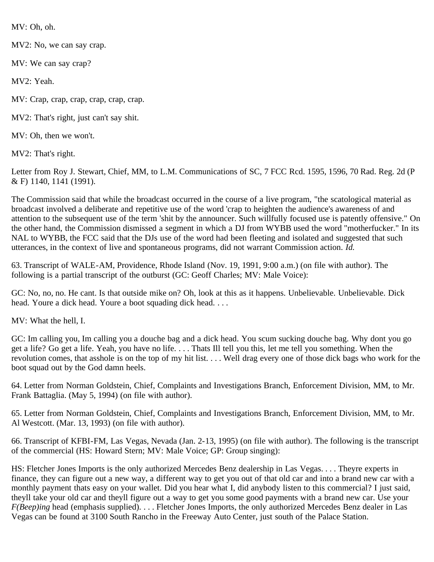MV: Oh, oh.

MV2: No, we can say crap.

MV: We can say crap?

MV2: Yeah.

MV: Crap, crap, crap, crap, crap, crap.

MV2: That's right, just can't say shit.

MV: Oh, then we won't.

MV2: That's right.

Letter from Roy J. Stewart, Chief, MM, to L.M. Communications of SC, 7 FCC Rcd. 1595, 1596, 70 Rad. Reg. 2d (P & F) 1140, 1141 (1991).

The Commission said that while the broadcast occurred in the course of a live program, "the scatological material as broadcast involved a deliberate and repetitive use of the word 'crap to heighten the audience's awareness of and attention to the subsequent use of the term 'shit by the announcer. Such willfully focused use is patently offensive." On the other hand, the Commission dismissed a segment in which a DJ from WYBB used the word "motherfucker." In its NAL to WYBB, the FCC said that the DJs use of the word had been fleeting and isolated and suggested that such utterances, in the context of live and spontaneous programs, did not warrant Commission action. *Id.*

<span id="page-21-0"></span>63. Transcript of WALE-AM, Providence, Rhode Island (Nov. 19, 1991, 9:00 a.m.) (on file with author). The following is a partial transcript of the outburst (GC: Geoff Charles; MV: Male Voice):

GC: No, no, no. He cant. Is that outside mike on? Oh, look at this as it happens. Unbelievable. Unbelievable. Dick head. Youre a dick head. Youre a boot squading dick head....

MV: What the hell, I.

GC: Im calling you, Im calling you a douche bag and a dick head. You scum sucking douche bag. Why dont you go get a life? Go get a life. Yeah, you have no life. . . . Thats Ill tell you this, let me tell you something. When the revolution comes, that asshole is on the top of my hit list. . . . Well drag every one of those dick bags who work for the boot squad out by the God damn heels.

<span id="page-21-1"></span>64. Letter from Norman Goldstein, Chief, Complaints and Investigations Branch, Enforcement Division, MM, to Mr. Frank Battaglia. (May 5, 1994) (on file with author).

<span id="page-21-2"></span>65. Letter from Norman Goldstein, Chief, Complaints and Investigations Branch, Enforcement Division, MM, to Mr. Al Westcott. (Mar. 13, 1993) (on file with author).

<span id="page-21-3"></span>66. Transcript of KFBI-FM, Las Vegas, Nevada (Jan. 2-13, 1995) (on file with author). The following is the transcript of the commercial (HS: Howard Stern; MV: Male Voice; GP: Group singing):

HS: Fletcher Jones Imports is the only authorized Mercedes Benz dealership in Las Vegas. . . . Theyre experts in finance, they can figure out a new way, a different way to get you out of that old car and into a brand new car with a monthly payment thats easy on your wallet. Did you hear what I, did anybody listen to this commercial? I just said, theyll take your old car and theyll figure out a way to get you some good payments with a brand new car. Use your *F(Beep)ing* head (emphasis supplied). . . . Fletcher Jones Imports, the only authorized Mercedes Benz dealer in Las Vegas can be found at 3100 South Rancho in the Freeway Auto Center, just south of the Palace Station.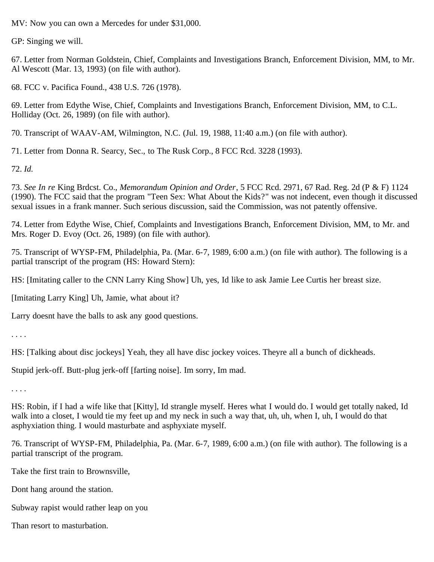MV: Now you can own a Mercedes for under \$31,000.

GP: Singing we will.

<span id="page-22-0"></span>67. Letter from Norman Goldstein, Chief, Complaints and Investigations Branch, Enforcement Division, MM, to Mr. Al Wescott (Mar. 13, 1993) (on file with author).

<span id="page-22-1"></span>68. FCC v. Pacifica Found., 438 U.S. 726 (1978).

<span id="page-22-2"></span>69. Letter from Edythe Wise, Chief, Complaints and Investigations Branch, Enforcement Division, MM, to C.L. Holliday (Oct. 26, 1989) (on file with author).

<span id="page-22-3"></span>70. Transcript of WAAV-AM, Wilmington, N.C. (Jul. 19, 1988, 11:40 a.m.) (on file with author).

<span id="page-22-4"></span>71. Letter from Donna R. Searcy, Sec., to The Rusk Corp., 8 FCC Rcd. 3228 (1993).

<span id="page-22-5"></span>72. *Id.*

<span id="page-22-6"></span>73. *See In re* King Brdcst. Co., *Memorandum Opinion and Order*, 5 FCC Rcd. 2971, 67 Rad. Reg. 2d (P & F) 1124 (1990). The FCC said that the program "Teen Sex: What About the Kids?" was not indecent, even though it discussed sexual issues in a frank manner. Such serious discussion, said the Commission, was not patently offensive.

<span id="page-22-7"></span>74. Letter from Edythe Wise, Chief, Complaints and Investigations Branch, Enforcement Division, MM, to Mr. and Mrs. Roger D. Evoy (Oct. 26, 1989) (on file with author).

<span id="page-22-8"></span>75. Transcript of WYSP-FM, Philadelphia, Pa. (Mar. 6-7, 1989, 6:00 a.m.) (on file with author). The following is a partial transcript of the program (HS: Howard Stern):

HS: [Imitating caller to the CNN Larry King Show] Uh, yes, Id like to ask Jamie Lee Curtis her breast size.

[Imitating Larry King] Uh, Jamie, what about it?

Larry doesnt have the balls to ask any good questions.

. . . .

HS: [Talking about disc jockeys] Yeah, they all have disc jockey voices. Theyre all a bunch of dickheads.

Stupid jerk-off. Butt-plug jerk-off [farting noise]. Im sorry, Im mad.

. . . .

HS: Robin, if I had a wife like that [Kitty], Id strangle myself. Heres what I would do. I would get totally naked, Id walk into a closet, I would tie my feet up and my neck in such a way that, uh, uh, when I, uh, I would do that asphyxiation thing. I would masturbate and asphyxiate myself.

<span id="page-22-9"></span>76. Transcript of WYSP-FM, Philadelphia, Pa. (Mar. 6-7, 1989, 6:00 a.m.) (on file with author). The following is a partial transcript of the program.

Take the first train to Brownsville,

Dont hang around the station.

Subway rapist would rather leap on you

Than resort to masturbation.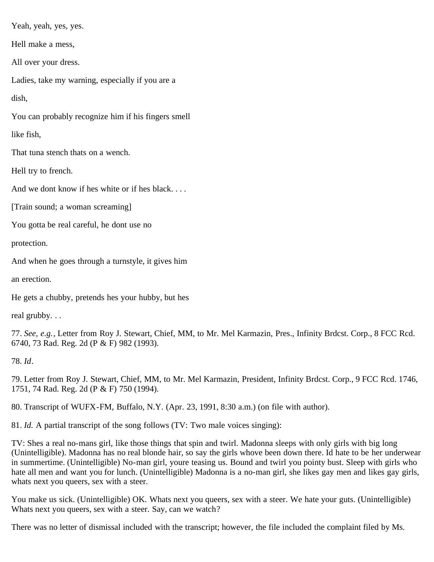Yeah, yeah, yes, yes.

Hell make a mess,

All over your dress.

Ladies, take my warning, especially if you are a

dish,

You can probably recognize him if his fingers smell

like fish,

That tuna stench thats on a wench.

Hell try to french.

And we dont know if hes white or if hes black. . . .

[Train sound; a woman screaming]

You gotta be real careful, he dont use no

protection.

And when he goes through a turnstyle, it gives him

an erection.

He gets a chubby, pretends hes your hubby, but hes

real grubby. . .

<span id="page-23-0"></span>77. *See, e.g.*, Letter from Roy J. Stewart, Chief, MM, to Mr. Mel Karmazin, Pres., Infinity Brdcst. Corp., 8 FCC Rcd. 6740, 73 Rad. Reg. 2d (P & F) 982 (1993).

<span id="page-23-1"></span>78. *Id*.

<span id="page-23-2"></span>79. Letter from Roy J. Stewart, Chief, MM, to Mr. Mel Karmazin, President, Infinity Brdcst. Corp., 9 FCC Rcd. 1746, 1751, 74 Rad. Reg. 2d (P & F) 750 (1994).

<span id="page-23-3"></span>80. Transcript of WUFX-FM, Buffalo, N.Y. (Apr. 23, 1991, 8:30 a.m.) (on file with author).

<span id="page-23-4"></span>81. *Id.* A partial transcript of the song follows (TV: Two male voices singing):

TV: Shes a real no-mans girl, like those things that spin and twirl. Madonna sleeps with only girls with big long (Unintelligible). Madonna has no real blonde hair, so say the girls whove been down there. Id hate to be her underwear in summertime. (Unintelligible) No-man girl, youre teasing us. Bound and twirl you pointy bust. Sleep with girls who hate all men and want you for lunch. (Unintelligible) Madonna is a no-man girl, she likes gay men and likes gay girls, whats next you queers, sex with a steer.

You make us sick. (Unintelligible) OK. Whats next you queers, sex with a steer. We hate your guts. (Unintelligible) Whats next you queers, sex with a steer. Say, can we watch?

There was no letter of dismissal included with the transcript; however, the file included the complaint filed by Ms.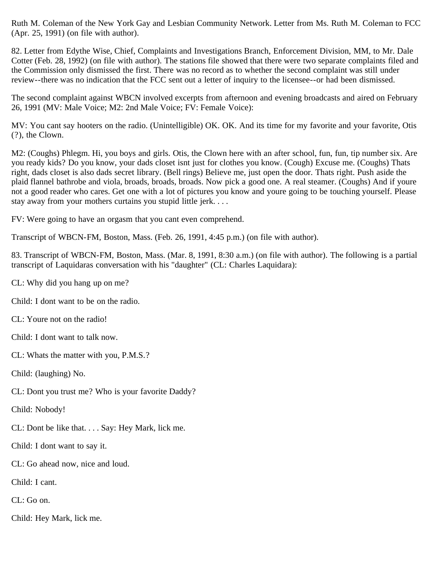Ruth M. Coleman of the New York Gay and Lesbian Community Network. Letter from Ms. Ruth M. Coleman to FCC (Apr. 25, 1991) (on file with author).

<span id="page-24-0"></span>82. Letter from Edythe Wise, Chief, Complaints and Investigations Branch, Enforcement Division, MM, to Mr. Dale Cotter (Feb. 28, 1992) (on file with author). The stations file showed that there were two separate complaints filed and the Commission only dismissed the first. There was no record as to whether the second complaint was still under review--there was no indication that the FCC sent out a letter of inquiry to the licensee--or had been dismissed.

The second complaint against WBCN involved excerpts from afternoon and evening broadcasts and aired on February 26, 1991 (MV: Male Voice; M2: 2nd Male Voice; FV: Female Voice):

MV: You cant say hooters on the radio. (Unintelligible) OK. OK. And its time for my favorite and your favorite, Otis (?), the Clown.

M2: (Coughs) Phlegm. Hi, you boys and girls. Otis, the Clown here with an after school, fun, fun, tip number six. Are you ready kids? Do you know, your dads closet isnt just for clothes you know. (Cough) Excuse me. (Coughs) Thats right, dads closet is also dads secret library. (Bell rings) Believe me, just open the door. Thats right. Push aside the plaid flannel bathrobe and viola, broads, broads, broads. Now pick a good one. A real steamer. (Coughs) And if youre not a good reader who cares. Get one with a lot of pictures you know and youre going to be touching yourself. Please stay away from your mothers curtains you stupid little jerk. . . .

FV: Were going to have an orgasm that you cant even comprehend.

Transcript of WBCN-FM, Boston, Mass. (Feb. 26, 1991, 4:45 p.m.) (on file with author).

<span id="page-24-1"></span>83. Transcript of WBCN-FM, Boston, Mass. (Mar. 8, 1991, 8:30 a.m.) (on file with author). The following is a partial transcript of Laquidaras conversation with his "daughter" (CL: Charles Laquidara):

CL: Why did you hang up on me?

Child: I dont want to be on the radio.

CL: Youre not on the radio!

Child: I dont want to talk now.

CL: Whats the matter with you, P.M.S.?

Child: (laughing) No.

CL: Dont you trust me? Who is your favorite Daddy?

Child: Nobody!

CL: Dont be like that. . . . Say: Hey Mark, lick me.

Child: I dont want to say it.

CL: Go ahead now, nice and loud.

Child: I cant.

CL: Go on.

Child: Hey Mark, lick me.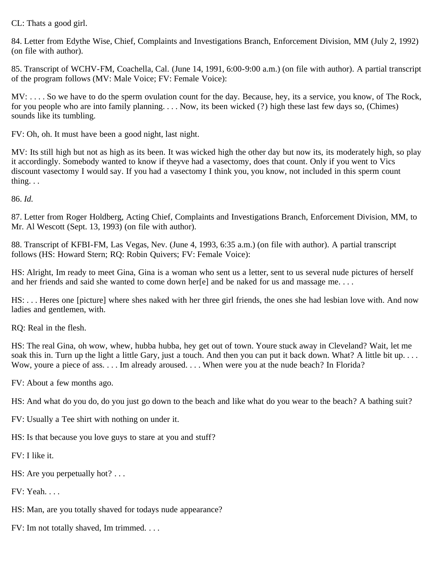CL: Thats a good girl.

<span id="page-25-0"></span>84. Letter from Edythe Wise, Chief, Complaints and Investigations Branch, Enforcement Division, MM (July 2, 1992) (on file with author).

<span id="page-25-1"></span>85. Transcript of WCHV-FM, Coachella, Cal. (June 14, 1991, 6:00-9:00 a.m.) (on file with author). A partial transcript of the program follows (MV: Male Voice; FV: Female Voice):

MV: . . . . So we have to do the sperm ovulation count for the day. Because, hey, its a service, you know, of The Rock, for you people who are into family planning. . . . Now, its been wicked (?) high these last few days so, (Chimes) sounds like its tumbling.

FV: Oh, oh. It must have been a good night, last night.

MV: Its still high but not as high as its been. It was wicked high the other day but now its, its moderately high, so play it accordingly. Somebody wanted to know if theyve had a vasectomy, does that count. Only if you went to Vics discount vasectomy I would say. If you had a vasectomy I think you, you know, not included in this sperm count thing. . .

<span id="page-25-2"></span>86. *Id.*

<span id="page-25-3"></span>87. Letter from Roger Holdberg, Acting Chief, Complaints and Investigations Branch, Enforcement Division, MM, to Mr. Al Wescott (Sept. 13, 1993) (on file with author).

<span id="page-25-4"></span>88. Transcript of KFBI-FM, Las Vegas, Nev. (June 4, 1993, 6:35 a.m.) (on file with author). A partial transcript follows (HS: Howard Stern; RQ: Robin Quivers; FV: Female Voice):

HS: Alright, Im ready to meet Gina, Gina is a woman who sent us a letter, sent to us several nude pictures of herself and her friends and said she wanted to come down her[e] and be naked for us and massage me. . . .

HS: . . . Heres one [picture] where shes naked with her three girl friends, the ones she had lesbian love with. And now ladies and gentlemen, with.

RQ: Real in the flesh.

HS: The real Gina, oh wow, whew, hubba hubba, hey get out of town. Youre stuck away in Cleveland? Wait, let me soak this in. Turn up the light a little Gary, just a touch. And then you can put it back down. What? A little bit up.... Wow, youre a piece of ass. . . . Im already aroused. . . . When were you at the nude beach? In Florida?

FV: About a few months ago.

HS: And what do you do, do you just go down to the beach and like what do you wear to the beach? A bathing suit?

FV: Usually a Tee shirt with nothing on under it.

HS: Is that because you love guys to stare at you and stuff?

FV: I like it.

HS: Are you perpetually hot? ...

FV: Yeah. . . .

- HS: Man, are you totally shaved for todays nude appearance?
- FV: Im not totally shaved, Im trimmed. . . .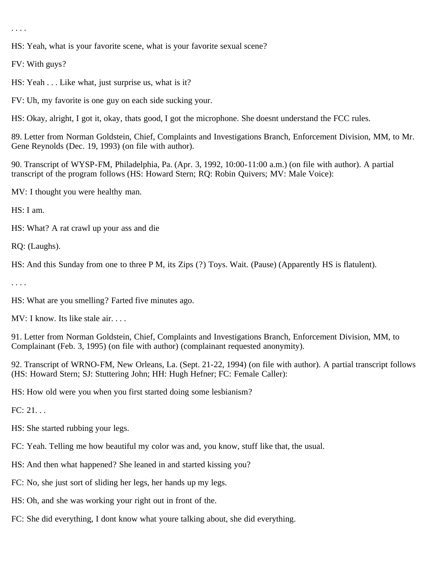. . . .

HS: Yeah, what is your favorite scene, what is your favorite sexual scene?

FV: With guys?

HS: Yeah . . . Like what, just surprise us, what is it?

FV: Uh, my favorite is one guy on each side sucking your.

HS: Okay, alright, I got it, okay, thats good, I got the microphone. She doesnt understand the FCC rules.

<span id="page-26-0"></span>89. Letter from Norman Goldstein, Chief, Complaints and Investigations Branch, Enforcement Division, MM, to Mr. Gene Reynolds (Dec. 19, 1993) (on file with author).

<span id="page-26-1"></span>90. Transcript of WYSP-FM, Philadelphia, Pa. (Apr. 3, 1992, 10:00-11:00 a.m.) (on file with author). A partial transcript of the program follows (HS: Howard Stern; RQ: Robin Quivers; MV: Male Voice):

MV: I thought you were healthy man.

HS: I am.

HS: What? A rat crawl up your ass and die

RQ: (Laughs).

HS: And this Sunday from one to three P M, its Zips (?) Toys. Wait. (Pause) (Apparently HS is flatulent).

. . . .

HS: What are you smelling? Farted five minutes ago.

MV: I know. Its like stale air....

<span id="page-26-2"></span>91. Letter from Norman Goldstein, Chief, Complaints and Investigations Branch, Enforcement Division, MM, to Complainant (Feb. 3, 1995) (on file with author) (complainant requested anonymity).

<span id="page-26-3"></span>92. Transcript of WRNO-FM, New Orleans, La. (Sept. 21-22, 1994) (on file with author). A partial transcript follows (HS: Howard Stern; SJ: Stuttering John; HH: Hugh Hefner; FC: Female Caller):

HS: How old were you when you first started doing some lesbianism?

 $FC: 21. . . .$ 

HS: She started rubbing your legs.

- FC: Yeah. Telling me how beautiful my color was and, you know, stuff like that, the usual.
- HS: And then what happened? She leaned in and started kissing you?
- FC: No, she just sort of sliding her legs, her hands up my legs.
- HS: Oh, and she was working your right out in front of the.
- FC: She did everything, I dont know what youre talking about, she did everything.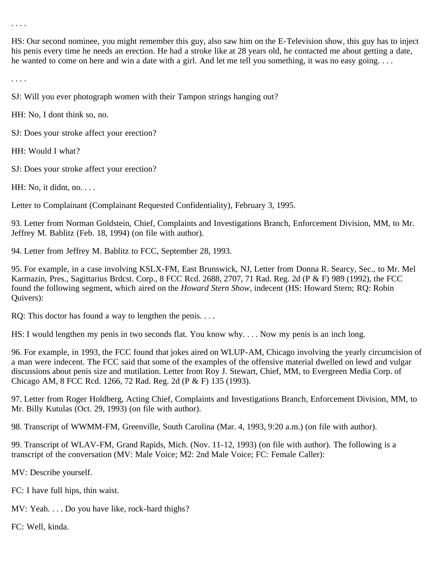. . . .

HS: Our second nominee, you might remember this guy, also saw him on the E-Television show, this guy has to inject his penis every time he needs an erection. He had a stroke like at 28 years old, he contacted me about getting a date, he wanted to come on here and win a date with a girl. And let me tell you something, it was no easy going. . . .

. . . .

SJ: Will you ever photograph women with their Tampon strings hanging out?

HH: No, I dont think so, no.

SJ: Does your stroke affect your erection?

HH: Would I what?

SJ: Does your stroke affect your erection?

HH: No, it didnt, no. . . .

Letter to Complainant (Complainant Requested Confidentiality), February 3, 1995.

<span id="page-27-0"></span>93. Letter from Norman Goldstein, Chief, Complaints and Investigations Branch, Enforcement Division, MM, to Mr. Jeffrey M. Bablitz (Feb. 18, 1994) (on file with author).

<span id="page-27-1"></span>94. Letter from Jeffrey M. Bablitz to FCC, September 28, 1993.

<span id="page-27-2"></span>95. For example, in a case involving KSLX-FM, East Brunswick, NJ, Letter from Donna R. Searcy, Sec., to Mr. Mel Karmazin, Pres., Sagittarius Brdcst. Corp., 8 FCC Rcd. 2688, 2707, 71 Rad. Reg. 2d (P & F) 989 (1992), the FCC found the following segment, which aired on the *Howard Stern Show*, indecent (HS: Howard Stern; RQ: Robin Quivers):

RQ: This doctor has found a way to lengthen the penis. . . .

HS: I would lengthen my penis in two seconds flat. You know why. . . . Now my penis is an inch long.

<span id="page-27-3"></span>96. For example, in 1993, the FCC found that jokes aired on WLUP-AM, Chicago involving the yearly circumcision of a man were indecent. The FCC said that some of the examples of the offensive material dwelled on lewd and vulgar discussions about penis size and mutilation. Letter from Roy J. Stewart, Chief, MM, to Evergreen Media Corp. of Chicago AM, 8 FCC Rcd. 1266, 72 Rad. Reg. 2d (P & F) 135 (1993).

<span id="page-27-4"></span>97. Letter from Roger Holdberg, Acting Chief, Complaints and Investigations Branch, Enforcement Division, MM, to Mr. Billy Kutulas (Oct. 29, 1993) (on file with author).

<span id="page-27-5"></span>98. Transcript of WWMM-FM, Greenville, South Carolina (Mar. 4, 1993, 9:20 a.m.) (on file with author).

<span id="page-27-6"></span>99. Transcript of WLAV-FM, Grand Rapids, Mich. (Nov. 11-12, 1993) (on file with author). The following is a transcript of the conversation (MV: Male Voice; M2: 2nd Male Voice; FC: Female Caller):

MV: Describe yourself.

FC: I have full hips, thin waist.

MV: Yeah. . . . Do you have like, rock-hard thighs?

FC: Well, kinda.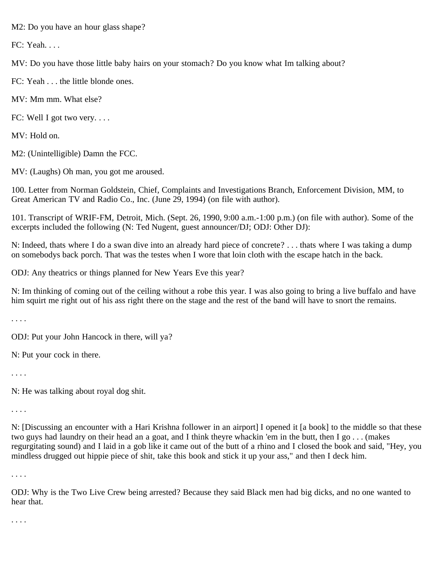M2: Do you have an hour glass shape?

FC: Yeah. . . .

MV: Do you have those little baby hairs on your stomach? Do you know what Im talking about?

FC: Yeah . . . the little blonde ones.

MV: Mm mm. What else?

FC: Well I got two very....

MV: Hold on.

M2: (Unintelligible) Damn the FCC.

MV: (Laughs) Oh man, you got me aroused.

<span id="page-28-0"></span>100. Letter from Norman Goldstein, Chief, Complaints and Investigations Branch, Enforcement Division, MM, to Great American TV and Radio Co., Inc. (June 29, 1994) (on file with author).

<span id="page-28-1"></span>101. Transcript of WRIF-FM, Detroit, Mich. (Sept. 26, 1990, 9:00 a.m.-1:00 p.m.) (on file with author). Some of the excerpts included the following (N: Ted Nugent, guest announcer/DJ; ODJ: Other DJ):

N: Indeed, thats where I do a swan dive into an already hard piece of concrete? . . . thats where I was taking a dump on somebodys back porch. That was the testes when I wore that loin cloth with the escape hatch in the back.

ODJ: Any theatrics or things planned for New Years Eve this year?

N: Im thinking of coming out of the ceiling without a robe this year. I was also going to bring a live buffalo and have him squirt me right out of his ass right there on the stage and the rest of the band will have to snort the remains.

. . . .

ODJ: Put your John Hancock in there, will ya?

N: Put your cock in there.

. . . .

N: He was talking about royal dog shit.

. . . .

N: [Discussing an encounter with a Hari Krishna follower in an airport] I opened it [a book] to the middle so that these two guys had laundry on their head an a goat, and I think theyre whackin 'em in the butt, then I go . . . (makes regurgitating sound) and I laid in a gob like it came out of the butt of a rhino and I closed the book and said, "Hey, you mindless drugged out hippie piece of shit, take this book and stick it up your ass," and then I deck him.

. . . .

ODJ: Why is the Two Live Crew being arrested? Because they said Black men had big dicks, and no one wanted to hear that.

. . . .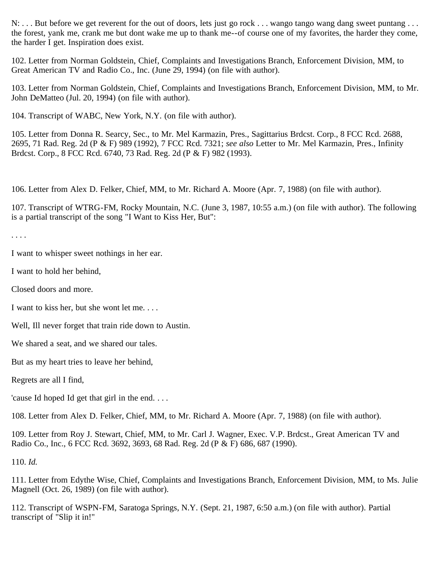N: ... But before we get reverent for the out of doors, lets just go rock ... wango tango wang dang sweet puntang ... the forest, yank me, crank me but dont wake me up to thank me--of course one of my favorites, the harder they come, the harder I get. Inspiration does exist.

<span id="page-29-0"></span>102. Letter from Norman Goldstein, Chief, Complaints and Investigations Branch, Enforcement Division, MM, to Great American TV and Radio Co., Inc. (June 29, 1994) (on file with author).

<span id="page-29-1"></span>103. Letter from Norman Goldstein, Chief, Complaints and Investigations Branch, Enforcement Division, MM, to Mr. John DeMatteo (Jul. 20, 1994) (on file with author).

<span id="page-29-2"></span>104. Transcript of WABC, New York, N.Y. (on file with author).

<span id="page-29-3"></span>105. Letter from Donna R. Searcy, Sec., to Mr. Mel Karmazin, Pres., Sagittarius Brdcst. Corp., 8 FCC Rcd. 2688, 2695, 71 Rad. Reg. 2d (P & F) 989 (1992), 7 FCC Rcd. 7321; *see also* Letter to Mr. Mel Karmazin, Pres., Infinity Brdcst. Corp., 8 FCC Rcd. 6740, 73 Rad. Reg. 2d (P & F) 982 (1993).

<span id="page-29-4"></span>106. Letter from Alex D. Felker, Chief, MM, to Mr. Richard A. Moore (Apr. 7, 1988) (on file with author).

<span id="page-29-5"></span>107. Transcript of WTRG-FM, Rocky Mountain, N.C. (June 3, 1987, 10:55 a.m.) (on file with author). The following is a partial transcript of the song "I Want to Kiss Her, But":

. . . .

I want to whisper sweet nothings in her ear.

I want to hold her behind,

Closed doors and more.

I want to kiss her, but she wont let me. . . .

Well, Ill never forget that train ride down to Austin.

We shared a seat, and we shared our tales.

But as my heart tries to leave her behind,

Regrets are all I find,

'cause Id hoped Id get that girl in the end. . . .

<span id="page-29-6"></span>108. Letter from Alex D. Felker, Chief, MM, to Mr. Richard A. Moore (Apr. 7, 1988) (on file with author).

<span id="page-29-7"></span>109. Letter from Roy J. Stewart, Chief, MM, to Mr. Carl J. Wagner, Exec. V.P. Brdcst., Great American TV and Radio Co., Inc., 6 FCC Rcd. 3692, 3693, 68 Rad. Reg. 2d (P & F) 686, 687 (1990).

<span id="page-29-8"></span>110. *Id.*

<span id="page-29-9"></span>111. Letter from Edythe Wise, Chief, Complaints and Investigations Branch, Enforcement Division, MM, to Ms. Julie Magnell (Oct. 26, 1989) (on file with author).

<span id="page-29-10"></span>112. Transcript of WSPN-FM, Saratoga Springs, N.Y. (Sept. 21, 1987, 6:50 a.m.) (on file with author). Partial transcript of "Slip it in!"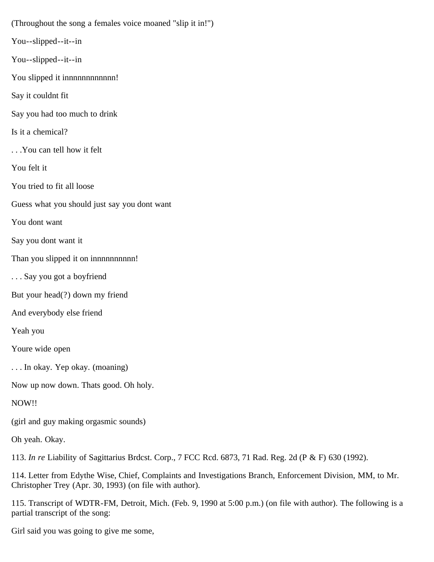(Throughout the song a females voice moaned "slip it in!")

You--slipped--it--in

You--slipped--it--in

You slipped it innnnnnnnnnnn!

Say it couldnt fit

Say you had too much to drink

Is it a chemical?

. . .You can tell how it felt

You felt it

You tried to fit all loose

Guess what you should just say you dont want

You dont want

Say you dont want it

Than you slipped it on innnnnnnnnn!

. . . Say you got a boyfriend

But your head(?) down my friend

And everybody else friend

Yeah you

Youre wide open

. . . In okay. Yep okay. (moaning)

Now up now down. Thats good. Oh holy.

NOW!!

(girl and guy making orgasmic sounds)

Oh yeah. Okay.

<span id="page-30-0"></span>113. *In re* Liability of Sagittarius Brdcst. Corp., 7 FCC Rcd. 6873, 71 Rad. Reg. 2d (P & F) 630 (1992).

<span id="page-30-1"></span>114. Letter from Edythe Wise, Chief, Complaints and Investigations Branch, Enforcement Division, MM, to Mr. Christopher Trey (Apr. 30, 1993) (on file with author).

<span id="page-30-2"></span>115. Transcript of WDTR-FM, Detroit, Mich. (Feb. 9, 1990 at 5:00 p.m.) (on file with author). The following is a partial transcript of the song:

Girl said you was going to give me some,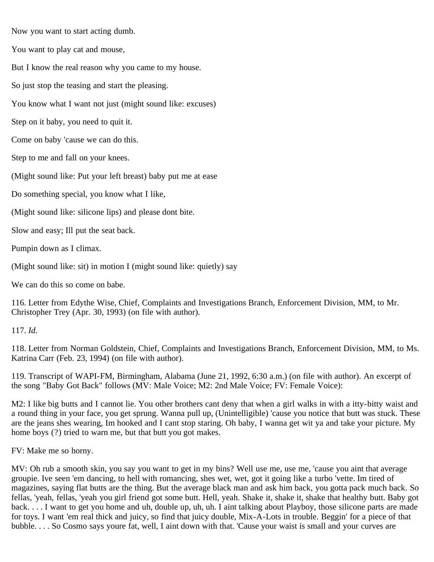Now you want to start acting dumb.

You want to play cat and mouse,

But I know the real reason why you came to my house.

So just stop the teasing and start the pleasing.

You know what I want not just (might sound like: excuses)

Step on it baby, you need to quit it.

Come on baby 'cause we can do this.

Step to me and fall on your knees.

(Might sound like: Put your left breast) baby put me at ease

Do something special, you know what I like,

(Might sound like: silicone lips) and please dont bite.

Slow and easy; Ill put the seat back.

Pumpin down as I climax.

(Might sound like: sit) in motion I (might sound like: quietly) say

We can do this so come on babe.

<span id="page-31-0"></span>116. Letter from Edythe Wise, Chief, Complaints and Investigations Branch, Enforcement Division, MM, to Mr. Christopher Trey (Apr. 30, 1993) (on file with author).

#### <span id="page-31-1"></span>117. *Id.*

<span id="page-31-2"></span>118. Letter from Norman Goldstein, Chief, Complaints and Investigations Branch, Enforcement Division, MM, to Ms. Katrina Carr (Feb. 23, 1994) (on file with author).

<span id="page-31-3"></span>119. Transcript of WAPI-FM, Birmingham, Alabama (June 21, 1992, 6:30 a.m.) (on file with author). An excerpt of the song "Baby Got Back" follows (MV: Male Voice; M2: 2nd Male Voice; FV: Female Voice):

M2: I like big butts and I cannot lie. You other brothers cant deny that when a girl walks in with a itty-bitty waist and a round thing in your face, you get sprung. Wanna pull up, (Unintelligible) 'cause you notice that butt was stuck. These are the jeans shes wearing, Im hooked and I cant stop staring. Oh baby, I wanna get wit ya and take your picture. My home boys (?) tried to warn me, but that butt you got makes.

FV: Make me so horny.

MV: Oh rub a smooth skin, you say you want to get in my bins? Well use me, use me, 'cause you aint that average groupie. Ive seen 'em dancing, to hell with romancing, shes wet, wet, got it going like a turbo 'vette. Im tired of magazines, saying flat butts are the thing. But the average black man and ask him back, you gotta pack much back. So fellas, 'yeah, fellas, 'yeah you girl friend got some butt. Hell, yeah. Shake it, shake it, shake that healthy butt. Baby got back. . . . I want to get you home and uh, double up, uh, uh. I aint talking about Playboy, those silicone parts are made for toys. I want 'em real thick and juicy, so find that juicy double, Mix-A-Lots in trouble. Beggin' for a piece of that bubble. . . . So Cosmo says youre fat, well, I aint down with that. 'Cause your waist is small and your curves are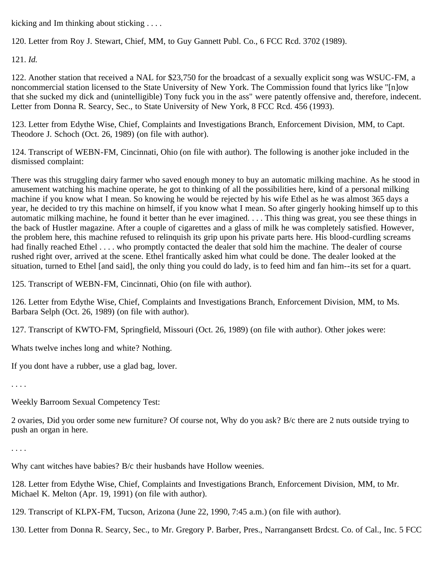kicking and Im thinking about sticking . . . .

<span id="page-32-0"></span>120. Letter from Roy J. Stewart, Chief, MM, to Guy Gannett Publ. Co., 6 FCC Rcd. 3702 (1989).

<span id="page-32-1"></span>121. *Id.*

<span id="page-32-2"></span>122. Another station that received a NAL for \$23,750 for the broadcast of a sexually explicit song was WSUC-FM, a noncommercial station licensed to the State University of New York. The Commission found that lyrics like "[n]ow that she sucked my dick and (unintelligible) Tony fuck you in the ass" were patently offensive and, therefore, indecent. Letter from Donna R. Searcy, Sec., to State University of New York, 8 FCC Rcd. 456 (1993).

<span id="page-32-3"></span>123. Letter from Edythe Wise, Chief, Complaints and Investigations Branch, Enforcement Division, MM, to Capt. Theodore J. Schoch (Oct. 26, 1989) (on file with author).

<span id="page-32-4"></span>124. Transcript of WEBN-FM, Cincinnati, Ohio (on file with author). The following is another joke included in the dismissed complaint:

There was this struggling dairy farmer who saved enough money to buy an automatic milking machine. As he stood in amusement watching his machine operate, he got to thinking of all the possibilities here, kind of a personal milking machine if you know what I mean. So knowing he would be rejected by his wife Ethel as he was almost 365 days a year, he decided to try this machine on himself, if you know what I mean. So after gingerly hooking himself up to this automatic milking machine, he found it better than he ever imagined. . . . This thing was great, you see these things in the back of Hustler magazine. After a couple of cigarettes and a glass of milk he was completely satisfied. However, the problem here, this machine refused to relinquish its grip upon his private parts here. His blood-curdling screams had finally reached Ethel . . . . who promptly contacted the dealer that sold him the machine. The dealer of course rushed right over, arrived at the scene. Ethel frantically asked him what could be done. The dealer looked at the situation, turned to Ethel [and said], the only thing you could do lady, is to feed him and fan him--its set for a quart.

<span id="page-32-5"></span>125. Transcript of WEBN-FM, Cincinnati, Ohio (on file with author).

<span id="page-32-6"></span>126. Letter from Edythe Wise, Chief, Complaints and Investigations Branch, Enforcement Division, MM, to Ms. Barbara Selph (Oct. 26, 1989) (on file with author).

<span id="page-32-7"></span>127. Transcript of KWTO-FM, Springfield, Missouri (Oct. 26, 1989) (on file with author). Other jokes were:

Whats twelve inches long and white? Nothing.

If you dont have a rubber, use a glad bag, lover.

. . . .

Weekly Barroom Sexual Competency Test:

2 ovaries, Did you order some new furniture? Of course not, Why do you ask? B/c there are 2 nuts outside trying to push an organ in here.

. . . .

Why cant witches have babies? B/c their husbands have Hollow weenies.

- <span id="page-32-8"></span>128. Letter from Edythe Wise, Chief, Complaints and Investigations Branch, Enforcement Division, MM, to Mr. Michael K. Melton (Apr. 19, 1991) (on file with author).
- <span id="page-32-9"></span>129. Transcript of KLPX-FM, Tucson, Arizona (June 22, 1990, 7:45 a.m.) (on file with author).
- <span id="page-32-10"></span>130. Letter from Donna R. Searcy, Sec., to Mr. Gregory P. Barber, Pres., Narrangansett Brdcst. Co. of Cal., Inc. 5 FCC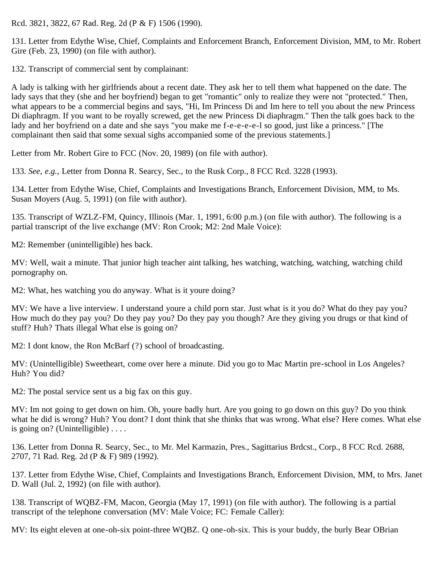Rcd. 3821, 3822, 67 Rad. Reg. 2d (P & F) 1506 (1990).

<span id="page-33-0"></span>131. Letter from Edythe Wise, Chief, Complaints and Enforcement Branch, Enforcement Division, MM, to Mr. Robert Gire (Feb. 23, 1990) (on file with author).

<span id="page-33-1"></span>132. Transcript of commercial sent by complainant:

A lady is talking with her girlfriends about a recent date. They ask her to tell them what happened on the date. The lady says that they (she and her boyfriend) began to get "romantic" only to realize they were not "protected." Then, what appears to be a commercial begins and says, "Hi, Im Princess Di and Im here to tell you about the new Princess Di diaphragm. If you want to be royally screwed, get the new Princess Di diaphragm." Then the talk goes back to the lady and her boyfriend on a date and she says "you make me f-e-e-e-e-l so good, just like a princess." [The complainant then said that some sexual sighs accompanied some of the previous statements.]

Letter from Mr. Robert Gire to FCC (Nov. 20, 1989) (on file with author).

<span id="page-33-2"></span>133. *See, e.g.,* Letter from Donna R. Searcy, Sec., to the Rusk Corp., 8 FCC Rcd. 3228 (1993).

<span id="page-33-3"></span>134. Letter from Edythe Wise, Chief, Complaints and Investigations Branch, Enforcement Division, MM, to Ms. Susan Moyers (Aug. 5, 1991) (on file with author).

<span id="page-33-4"></span>135. Transcript of WZLZ-FM, Quincy, Illinois (Mar. 1, 1991, 6:00 p.m.) (on file with author). The following is a partial transcript of the live exchange (MV: Ron Crook; M2: 2nd Male Voice):

M2: Remember (unintelligible) hes back.

MV: Well, wait a minute. That junior high teacher aint talking, hes watching, watching, watching, watching child pornography on.

M2: What, hes watching you do anyway. What is it youre doing?

MV: We have a live interview. I understand youre a child porn star. Just what is it you do? What do they pay you? How much do they pay you? Do they pay you? Do they pay you though? Are they giving you drugs or that kind of stuff? Huh? Thats illegal What else is going on?

M2: I dont know, the Ron McBarf (?) school of broadcasting.

MV: (Unintelligible) Sweetheart, come over here a minute. Did you go to Mac Martin pre-school in Los Angeles? Huh? You did?

M2: The postal service sent us a big fax on this guy.

MV: Im not going to get down on him. Oh, youre badly hurt. Are you going to go down on this guy? Do you think what he did is wrong? Huh? You dont? I dont think that she thinks that was wrong. What else? Here comes. What else is going on? (Unintelligible) . . . .

<span id="page-33-5"></span>136. Letter from Donna R. Searcy, Sec., to Mr. Mel Karmazin, Pres., Sagittarius Brdcst., Corp., 8 FCC Rcd. 2688, 2707, 71 Rad. Reg. 2d (P & F) 989 (1992).

<span id="page-33-6"></span>137. Letter from Edythe Wise, Chief, Complaints and Investigations Branch, Enforcement Division, MM, to Mrs. Janet D. Wall (Jul. 2, 1992) (on file with author).

<span id="page-33-7"></span>138. Transcript of WQBZ-FM, Macon, Georgia (May 17, 1991) (on file with author). The following is a partial transcript of the telephone conversation (MV: Male Voice; FC: Female Caller):

MV: Its eight eleven at one-oh-six point-three WQBZ. Q one-oh-six. This is your buddy, the burly Bear OBrian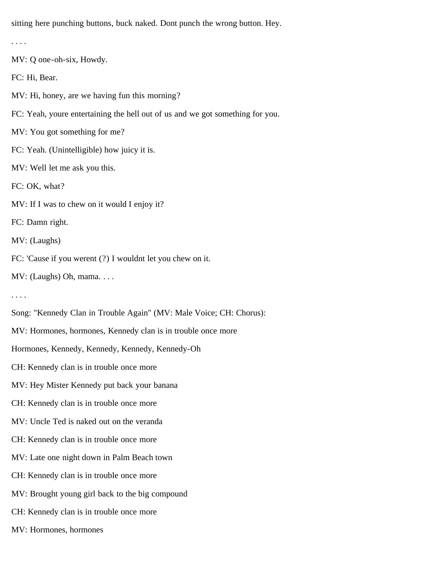sitting here punching buttons, buck naked. Dont punch the wrong button. Hey.

. . . .

MV: Q one-oh-six, Howdy.

FC: Hi, Bear.

MV: Hi, honey, are we having fun this morning?

FC: Yeah, youre entertaining the hell out of us and we got something for you.

MV: You got something for me?

FC: Yeah. (Unintelligible) how juicy it is.

MV: Well let me ask you this.

FC: OK, what?

MV: If I was to chew on it would I enjoy it?

FC: Damn right.

MV: (Laughs)

FC: 'Cause if you werent (?) I wouldnt let you chew on it.

MV: (Laughs) Oh, mama. . . .

. . . .

Song: "Kennedy Clan in Trouble Again" (MV: Male Voice; CH: Chorus):

MV: Hormones, hormones, Kennedy clan is in trouble once more

Hormones, Kennedy, Kennedy, Kennedy, Kennedy-Oh

CH: Kennedy clan is in trouble once more

MV: Hey Mister Kennedy put back your banana

CH: Kennedy clan is in trouble once more

MV: Uncle Ted is naked out on the veranda

CH: Kennedy clan is in trouble once more

MV: Late one night down in Palm Beach town

CH: Kennedy clan is in trouble once more

MV: Brought young girl back to the big compound

CH: Kennedy clan is in trouble once more

MV: Hormones, hormones